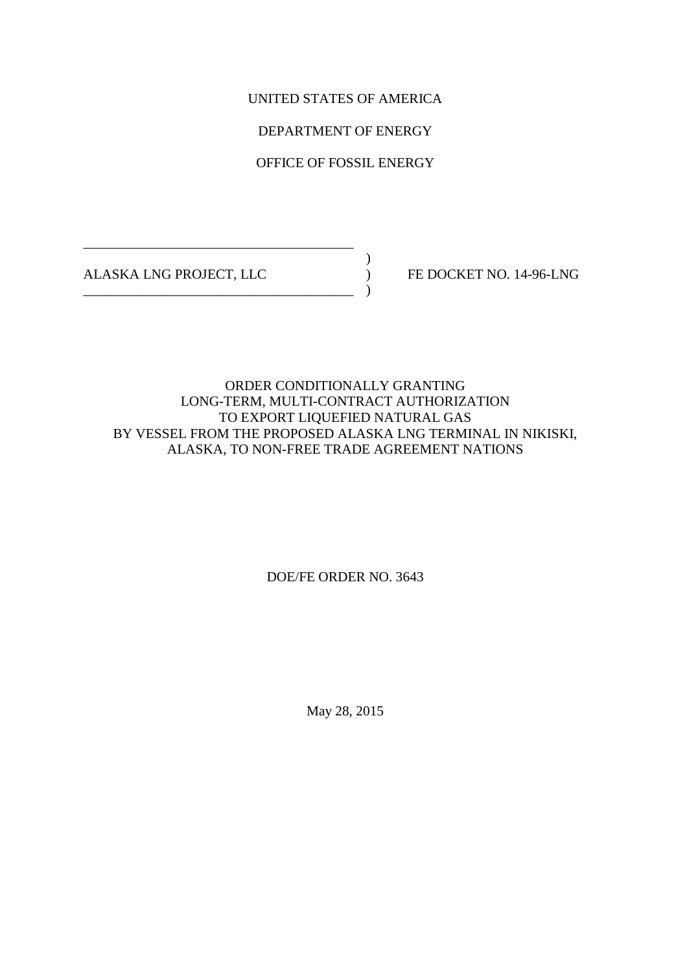UNITED STATES OF AMERICA

DEPARTMENT OF ENERGY

OFFICE OF FOSSIL ENERGY

 $)$ ALASKA LNG PROJECT, LLC ) FE DOCKET NO. 14-96-LNG

\_\_\_\_\_\_\_\_\_\_\_\_\_\_\_\_\_\_\_\_\_\_\_\_\_\_\_\_\_\_\_\_\_\_\_\_\_\_\_

\_\_\_\_\_\_\_\_\_\_\_\_\_\_\_\_\_\_\_\_\_\_\_\_\_\_\_\_\_\_\_\_\_\_\_\_\_\_\_ )

# ORDER CONDITIONALLY GRANTING LONG-TERM, MULTI-CONTRACT AUTHORIZATION TO EXPORT LIQUEFIED NATURAL GAS BY VESSEL FROM THE PROPOSED ALASKA LNG TERMINAL IN NIKISKI, ALASKA, TO NON-FREE TRADE AGREEMENT NATIONS

# DOE/FE ORDER NO. 3643

May 28, 2015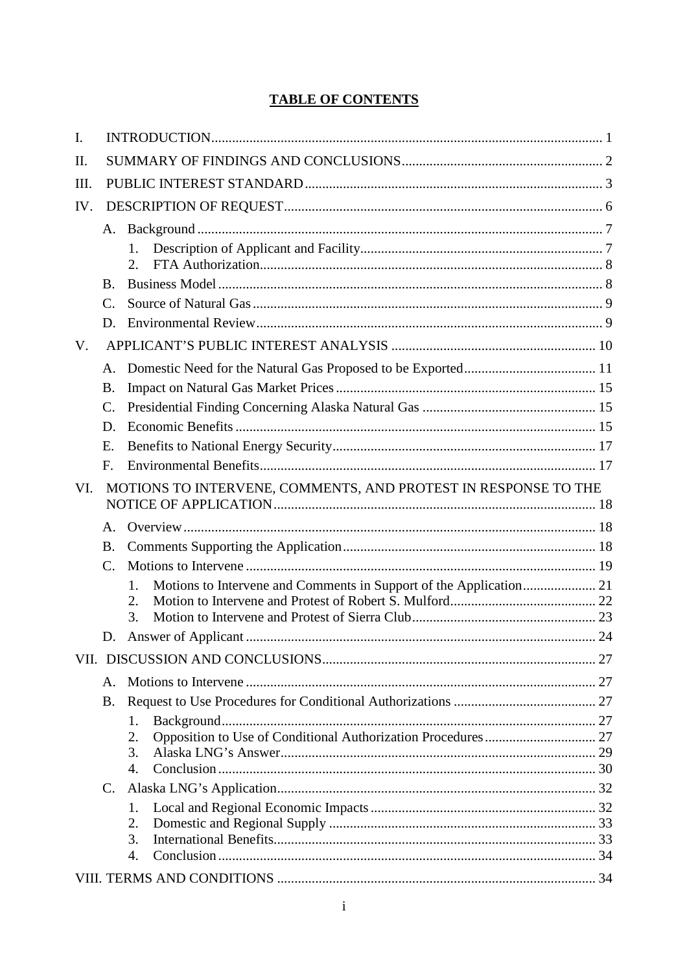# **TABLE OF CONTENTS**

| $\mathbf{I}$ . |                 |                                                                          |  |  |  |  |
|----------------|-----------------|--------------------------------------------------------------------------|--|--|--|--|
| Π.             |                 |                                                                          |  |  |  |  |
| Ш.             |                 |                                                                          |  |  |  |  |
| IV.            |                 |                                                                          |  |  |  |  |
|                | A.              |                                                                          |  |  |  |  |
|                |                 | 1.                                                                       |  |  |  |  |
|                |                 | $\overline{2}$ .                                                         |  |  |  |  |
|                | B.              |                                                                          |  |  |  |  |
|                | C.              |                                                                          |  |  |  |  |
|                | D.              |                                                                          |  |  |  |  |
| V.             |                 |                                                                          |  |  |  |  |
|                | A.              |                                                                          |  |  |  |  |
|                | Β.              |                                                                          |  |  |  |  |
|                | $\mathcal{C}$ . |                                                                          |  |  |  |  |
|                | D.              |                                                                          |  |  |  |  |
|                | E.              |                                                                          |  |  |  |  |
|                | F.              |                                                                          |  |  |  |  |
| VI.            |                 | MOTIONS TO INTERVENE, COMMENTS, AND PROTEST IN RESPONSE TO THE           |  |  |  |  |
|                | $\mathsf{A}$ .  |                                                                          |  |  |  |  |
|                | <b>B.</b>       |                                                                          |  |  |  |  |
|                | $\mathcal{C}$ . |                                                                          |  |  |  |  |
|                |                 | Motions to Intervene and Comments in Support of the Application 21<br>1. |  |  |  |  |
|                |                 | 2.                                                                       |  |  |  |  |
|                |                 | 3.                                                                       |  |  |  |  |
|                | D.              |                                                                          |  |  |  |  |
|                |                 |                                                                          |  |  |  |  |
|                | Α.              |                                                                          |  |  |  |  |
|                | <b>B.</b>       |                                                                          |  |  |  |  |
|                |                 | 1.                                                                       |  |  |  |  |
|                |                 | 2.<br>3.                                                                 |  |  |  |  |
|                |                 | $\mathbf{4}$ .                                                           |  |  |  |  |
|                | $C_{\cdot}$     |                                                                          |  |  |  |  |
|                |                 | 1.                                                                       |  |  |  |  |
|                |                 | 2.                                                                       |  |  |  |  |
|                |                 | 3.                                                                       |  |  |  |  |
|                |                 | 4.                                                                       |  |  |  |  |
|                |                 |                                                                          |  |  |  |  |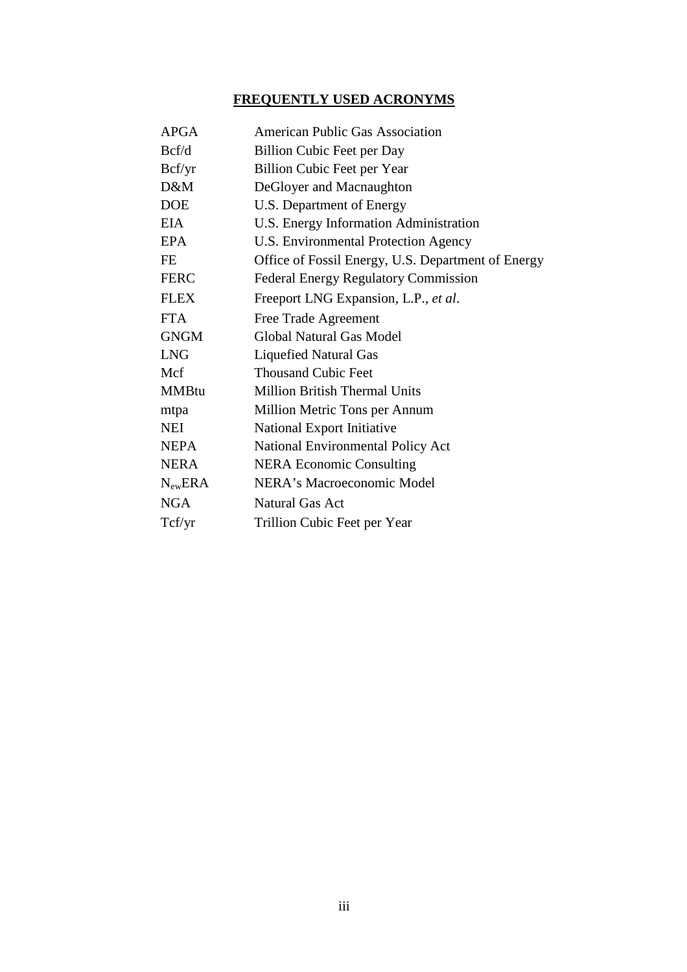# **FREQUENTLY USED ACRONYMS**

| <b>APGA</b>  | American Public Gas Association                    |
|--------------|----------------------------------------------------|
| Bcf/d        | <b>Billion Cubic Feet per Day</b>                  |
| Bcf/yr       | <b>Billion Cubic Feet per Year</b>                 |
| D&M          | DeGloyer and Macnaughton                           |
| <b>DOE</b>   | U.S. Department of Energy                          |
| <b>EIA</b>   | U.S. Energy Information Administration             |
| EPA          | U.S. Environmental Protection Agency               |
| <b>FE</b>    | Office of Fossil Energy, U.S. Department of Energy |
| <b>FERC</b>  | <b>Federal Energy Regulatory Commission</b>        |
| <b>FLEX</b>  | Freeport LNG Expansion, L.P., et al.               |
| <b>FTA</b>   | Free Trade Agreement                               |
| <b>GNGM</b>  | Global Natural Gas Model                           |
| <b>LNG</b>   | <b>Liquefied Natural Gas</b>                       |
| Mcf          | <b>Thousand Cubic Feet</b>                         |
| <b>MMBtu</b> | <b>Million British Thermal Units</b>               |
| mtpa         | Million Metric Tons per Annum                      |
| <b>NEI</b>   | National Export Initiative                         |
| <b>NEPA</b>  | <b>National Environmental Policy Act</b>           |
| <b>NERA</b>  | <b>NERA Economic Consulting</b>                    |
| $N_{ew}$ ERA | NERA's Macroeconomic Model                         |
| <b>NGA</b>   | <b>Natural Gas Act</b>                             |
| Tcf/yr       | Trillion Cubic Feet per Year                       |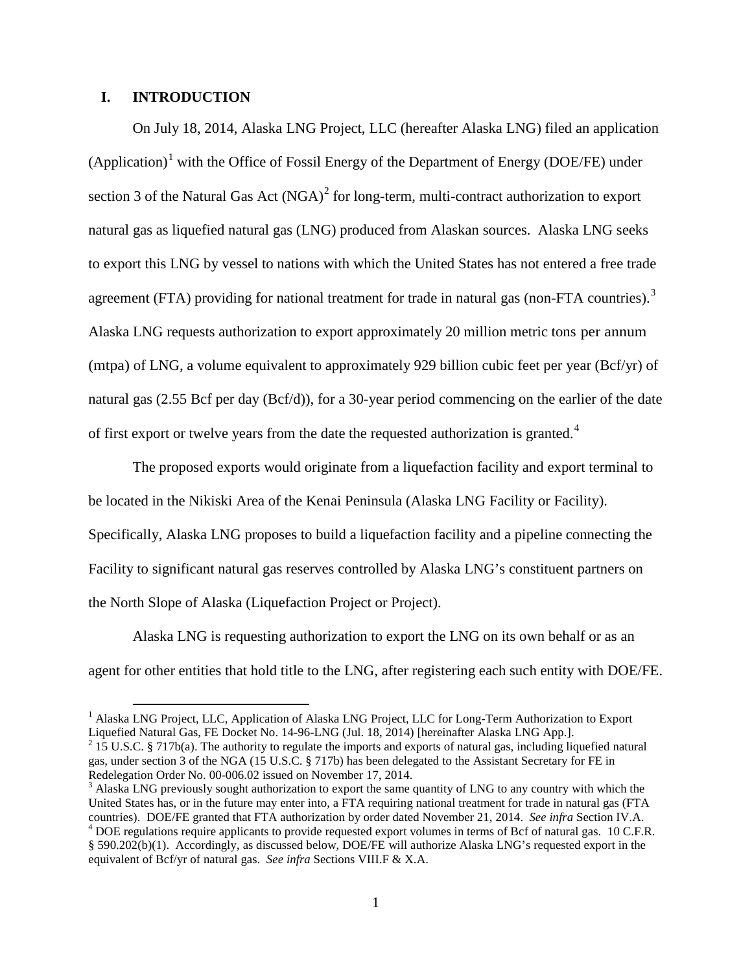# **I. INTRODUCTION**

<span id="page-4-0"></span>On July 18, 2014, Alaska LNG Project, LLC (hereafter Alaska LNG) filed an application  $(Application)<sup>1</sup>$  $(Application)<sup>1</sup>$  $(Application)<sup>1</sup>$  with the Office of Fossil Energy of the Department of Energy (DOE/FE) under section 3 of the Natural Gas Act  $(NGA)^2$  $(NGA)^2$  for long-term, multi-contract authorization to export natural gas as liquefied natural gas (LNG) produced from Alaskan sources. Alaska LNG seeks to export this LNG by vessel to nations with which the United States has not entered a free trade agreement (FTA) providing for national treatment for trade in natural gas (non-FTA countries).<sup>[3](#page-4-3)</sup> Alaska LNG requests authorization to export approximately 20 million metric tons per annum (mtpa) of LNG, a volume equivalent to approximately 929 billion cubic feet per year (Bcf/yr) of natural gas (2.55 Bcf per day (Bcf/d)), for a 30-year period commencing on the earlier of the date of first export or twelve years from the date the requested authorization is granted.<sup>[4](#page-4-4)</sup>

The proposed exports would originate from a liquefaction facility and export terminal to be located in the Nikiski Area of the Kenai Peninsula (Alaska LNG Facility or Facility). Specifically, Alaska LNG proposes to build a liquefaction facility and a pipeline connecting the Facility to significant natural gas reserves controlled by Alaska LNG's constituent partners on the North Slope of Alaska (Liquefaction Project or Project).

Alaska LNG is requesting authorization to export the LNG on its own behalf or as an agent for other entities that hold title to the LNG, after registering each such entity with DOE/FE.

<span id="page-4-1"></span><sup>&</sup>lt;sup>1</sup> Alaska LNG Project, LLC, Application of Alaska LNG Project, LLC for Long-Term Authorization to Export Liquefied Natural Gas, FE Docket No. 14-96-LNG (Jul. 18, 2014) [hereinafter Alaska LNG App.].

<span id="page-4-2"></span><sup>&</sup>lt;sup>2</sup> 15 U.S.C. § 717b(a). The authority to regulate the imports and exports of natural gas, including liquefied natural gas, under section 3 of the NGA (15 U.S.C. § 717b) has been delegated to the Assistant Secretary for FE in Redelegation Order No. 00-006.02 issued on November 17, 2014.<br><sup>3</sup> Alaska LNG previously sought authorization to export the same quantity of LNG to any country with which the

<span id="page-4-4"></span><span id="page-4-3"></span>United States has, or in the future may enter into, a FTA requiring national treatment for trade in natural gas (FTA countries). DOE/FE granted that FTA authorization by order dated November 21, 2014. See infra Section IV. <sup>4</sup> DOE regulations require applicants to provide requested export volumes in terms of Bcf of natural gas. 10 C.F.R. § 590.202(b)(1). Accordingly, as discussed below, DOE/FE will authorize Alaska LNG's requested export in the equivalent of Bcf/yr of natural gas. *See infra* Sections VIII.F & X.A.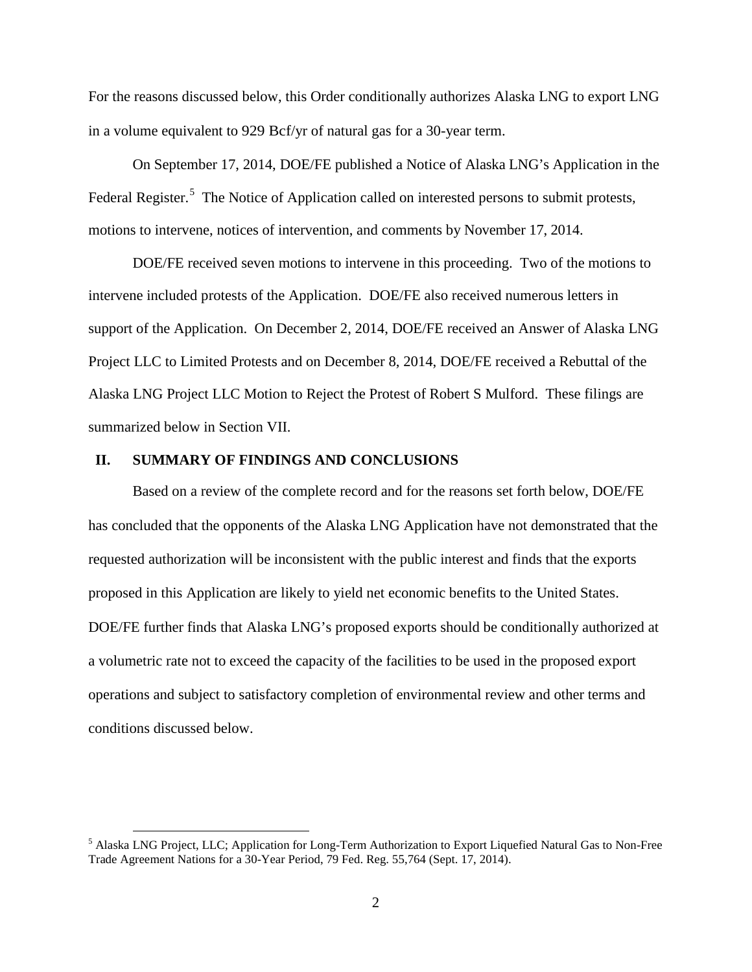For the reasons discussed below, this Order conditionally authorizes Alaska LNG to export LNG in a volume equivalent to 929 Bcf/yr of natural gas for a 30-year term.

On September 17, 2014, DOE/FE published a Notice of Alaska LNG's Application in the Federal Register.<sup>[5](#page-5-1)</sup> The Notice of Application called on interested persons to submit protests, motions to intervene, notices of intervention, and comments by November 17, 2014.

DOE/FE received seven motions to intervene in this proceeding. Two of the motions to intervene included protests of the Application. DOE/FE also received numerous letters in support of the Application. On December 2, 2014, DOE/FE received an Answer of Alaska LNG Project LLC to Limited Protests and on December 8, 2014, DOE/FE received a Rebuttal of the Alaska LNG Project LLC Motion to Reject the Protest of Robert S Mulford. These filings are summarized below in Section VII.

# **II. SUMMARY OF FINDINGS AND CONCLUSIONS**

<span id="page-5-0"></span>Based on a review of the complete record and for the reasons set forth below, DOE/FE has concluded that the opponents of the Alaska LNG Application have not demonstrated that the requested authorization will be inconsistent with the public interest and finds that the exports proposed in this Application are likely to yield net economic benefits to the United States. DOE/FE further finds that Alaska LNG's proposed exports should be conditionally authorized at a volumetric rate not to exceed the capacity of the facilities to be used in the proposed export operations and subject to satisfactory completion of environmental review and other terms and conditions discussed below.

<span id="page-5-1"></span> <sup>5</sup> Alaska LNG Project, LLC; Application for Long-Term Authorization to Export Liquefied Natural Gas to Non-Free Trade Agreement Nations for a 30-Year Period, 79 Fed. Reg. 55,764 (Sept. 17, 2014).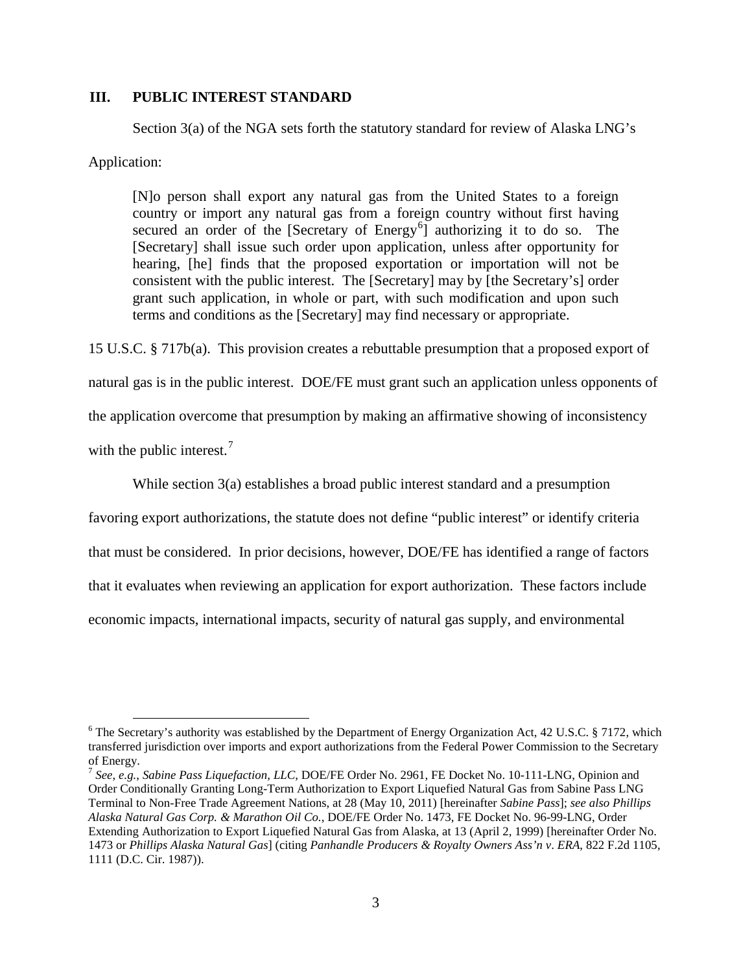# **III. PUBLIC INTEREST STANDARD**

Section 3(a) of the NGA sets forth the statutory standard for review of Alaska LNG's

<span id="page-6-0"></span>Application:

[N]o person shall export any natural gas from the United States to a foreign country or import any natural gas from a foreign country without first having secured an order of the [Secretary of Energy<sup>[6](#page-6-1)</sup>] authorizing it to do so. The [Secretary] shall issue such order upon application, unless after opportunity for hearing, [he] finds that the proposed exportation or importation will not be consistent with the public interest. The [Secretary] may by [the Secretary's] order grant such application, in whole or part, with such modification and upon such terms and conditions as the [Secretary] may find necessary or appropriate.

15 U.S.C. § 717b(a). This provision creates a rebuttable presumption that a proposed export of

natural gas is in the public interest. DOE/FE must grant such an application unless opponents of the application overcome that presumption by making an affirmative showing of inconsistency

with the public interest. $<sup>7</sup>$  $<sup>7</sup>$  $<sup>7</sup>$ </sup>

While section 3(a) establishes a broad public interest standard and a presumption

favoring export authorizations, the statute does not define "public interest" or identify criteria that must be considered. In prior decisions, however, DOE/FE has identified a range of factors that it evaluates when reviewing an application for export authorization. These factors include economic impacts, international impacts, security of natural gas supply, and environmental

<span id="page-6-1"></span> $6$  The Secretary's authority was established by the Department of Energy Organization Act, 42 U.S.C. § 7172, which transferred jurisdiction over imports and export authorizations from the Federal Power Commission to the Secretary of Energy.

<span id="page-6-2"></span><sup>7</sup> *See*, *e.g.*, *Sabine Pass Liquefaction, LLC*, DOE/FE Order No. 2961, FE Docket No. 10-111-LNG, Opinion and Order Conditionally Granting Long-Term Authorization to Export Liquefied Natural Gas from Sabine Pass LNG Terminal to Non-Free Trade Agreement Nations, at 28 (May 10, 2011) [hereinafter *Sabine Pass*]; *see also Phillips Alaska Natural Gas Corp. & Marathon Oil Co.*, DOE/FE Order No. 1473, FE Docket No. 96-99-LNG, Order Extending Authorization to Export Liquefied Natural Gas from Alaska, at 13 (April 2, 1999) [hereinafter Order No. 1473 or *Phillips Alaska Natural Gas*] (citing *Panhandle Producers & Royalty Owners Ass'n v*. *ERA*, 822 F.2d 1105, 1111 (D.C. Cir. 1987)).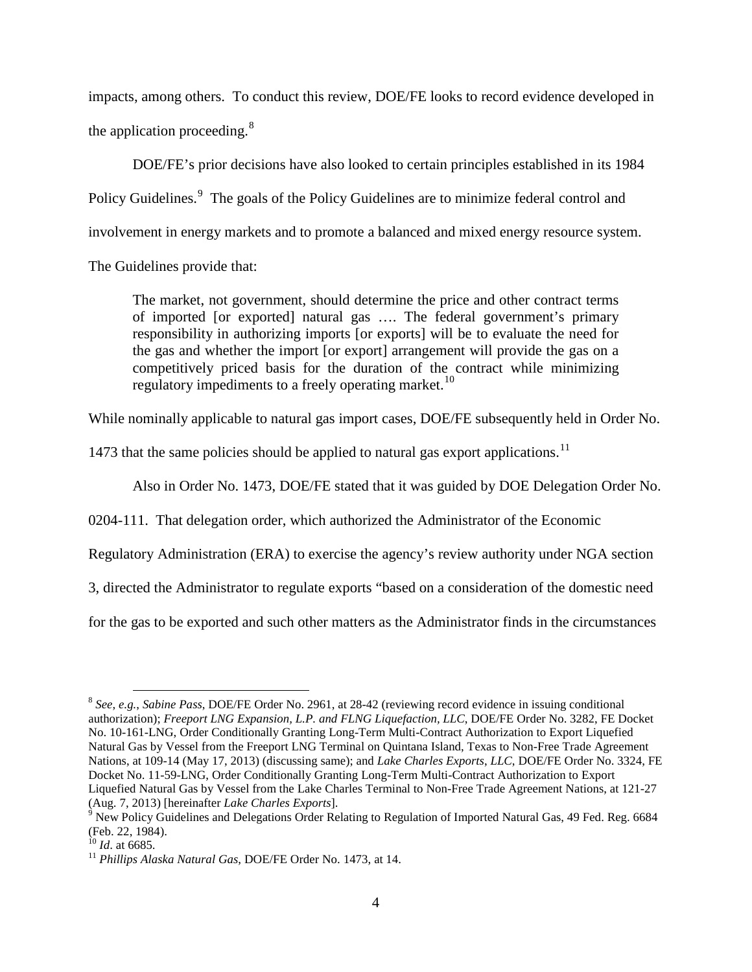impacts, among others. To conduct this review, DOE/FE looks to record evidence developed in the application proceeding.<sup>[8](#page-7-0)</sup>

DOE/FE's prior decisions have also looked to certain principles established in its 1984 Policy Guidelines.<sup>[9](#page-7-1)</sup> The goals of the Policy Guidelines are to minimize federal control and involvement in energy markets and to promote a balanced and mixed energy resource system.

The Guidelines provide that:

The market, not government, should determine the price and other contract terms of imported [or exported] natural gas …. The federal government's primary responsibility in authorizing imports [or exports] will be to evaluate the need for the gas and whether the import [or export] arrangement will provide the gas on a competitively priced basis for the duration of the contract while minimizing regulatory impediments to a freely operating market.<sup>[10](#page-7-2)</sup>

While nominally applicable to natural gas import cases, DOE/FE subsequently held in Order No.

1473 that the same policies should be applied to natural gas export applications.<sup>[11](#page-7-3)</sup>

Also in Order No. 1473, DOE/FE stated that it was guided by DOE Delegation Order No.

0204-111. That delegation order, which authorized the Administrator of the Economic

Regulatory Administration (ERA) to exercise the agency's review authority under NGA section

3, directed the Administrator to regulate exports "based on a consideration of the domestic need

for the gas to be exported and such other matters as the Administrator finds in the circumstances

<span id="page-7-0"></span> <sup>8</sup> *See*, *e.g.*, *Sabine Pass*, DOE/FE Order No. 2961, at 28-42 (reviewing record evidence in issuing conditional authorization); *Freeport LNG Expansion, L.P. and FLNG Liquefaction, LLC*, DOE/FE Order No. 3282, FE Docket No. 10-161-LNG, Order Conditionally Granting Long-Term Multi-Contract Authorization to Export Liquefied Natural Gas by Vessel from the Freeport LNG Terminal on Quintana Island, Texas to Non-Free Trade Agreement Nations, at 109-14 (May 17, 2013) (discussing same); and *Lake Charles Exports*, *LLC*, DOE/FE Order No. 3324, FE Docket No. 11-59-LNG, Order Conditionally Granting Long-Term Multi-Contract Authorization to Export Liquefied Natural Gas by Vessel from the Lake Charles Terminal to Non-Free Trade Agreement Nations, at 121-27 (Aug. 7, 2013) [hereinafter *Lake Charles Exports*].

<span id="page-7-1"></span><sup>&</sup>lt;sup>9</sup> New Policy Guidelines and Delegations Order Relating to Regulation of Imported Natural Gas, 49 Fed. Reg. 6684 (Feb. 22, 1984).

<span id="page-7-3"></span><span id="page-7-2"></span>

<sup>&</sup>lt;sup>10</sup> *Id.* at 6685.<br><sup>11</sup> *Phillips Alaska Natural Gas*, DOE/FE Order No. 1473, at 14.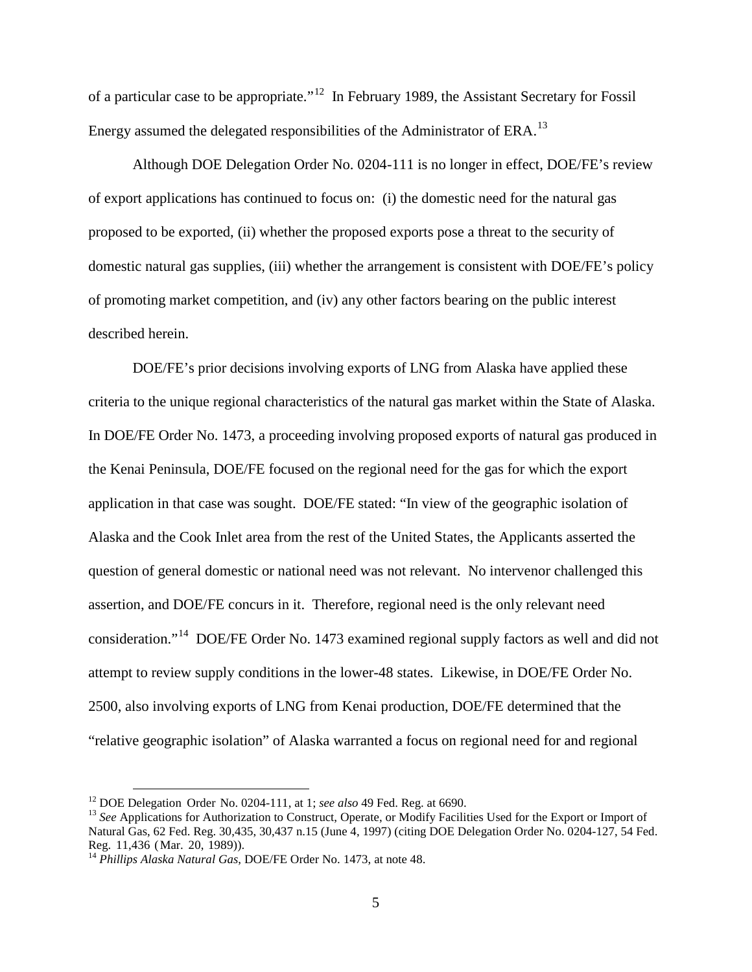of a particular case to be appropriate."[12](#page-8-0) In February 1989, the Assistant Secretary for Fossil Energy assumed the delegated responsibilities of the Administrator of ERA.<sup>[13](#page-8-1)</sup>

Although DOE Delegation Order No. 0204-111 is no longer in effect, DOE/FE's review of export applications has continued to focus on: (i) the domestic need for the natural gas proposed to be exported, (ii) whether the proposed exports pose a threat to the security of domestic natural gas supplies, (iii) whether the arrangement is consistent with DOE/FE's policy of promoting market competition, and (iv) any other factors bearing on the public interest described herein.

DOE/FE's prior decisions involving exports of LNG from Alaska have applied these criteria to the unique regional characteristics of the natural gas market within the State of Alaska. In DOE/FE Order No. 1473, a proceeding involving proposed exports of natural gas produced in the Kenai Peninsula, DOE/FE focused on the regional need for the gas for which the export application in that case was sought. DOE/FE stated: "In view of the geographic isolation of Alaska and the Cook Inlet area from the rest of the United States, the Applicants asserted the question of general domestic or national need was not relevant. No intervenor challenged this assertion, and DOE/FE concurs in it. Therefore, regional need is the only relevant need consideration."[14](#page-8-2) DOE/FE Order No. 1473 examined regional supply factors as well and did not attempt to review supply conditions in the lower-48 states. Likewise, in DOE/FE Order No. 2500, also involving exports of LNG from Kenai production, DOE/FE determined that the "relative geographic isolation" of Alaska warranted a focus on regional need for and regional

<span id="page-8-1"></span><span id="page-8-0"></span><sup>&</sup>lt;sup>12</sup> DOE Delegation Order No. 0204-111, at 1; *see also* 49 Fed. Reg. at 6690.<br><sup>13</sup> *See* Applications for Authorization to Construct, Operate, or Modify Facilities Used for the Export or Import of Natural Gas, 62 Fed. Reg. 30,435, 30,437 n.15 (June 4, 1997) (citing DOE Delegation Order No. 0204-127, 54 Fed.<br>Reg. 11,436 (Mar. 20, 1989)).

<span id="page-8-2"></span><sup>&</sup>lt;sup>14</sup> Phillips Alaska Natural Gas, DOE/FE Order No. 1473, at note 48.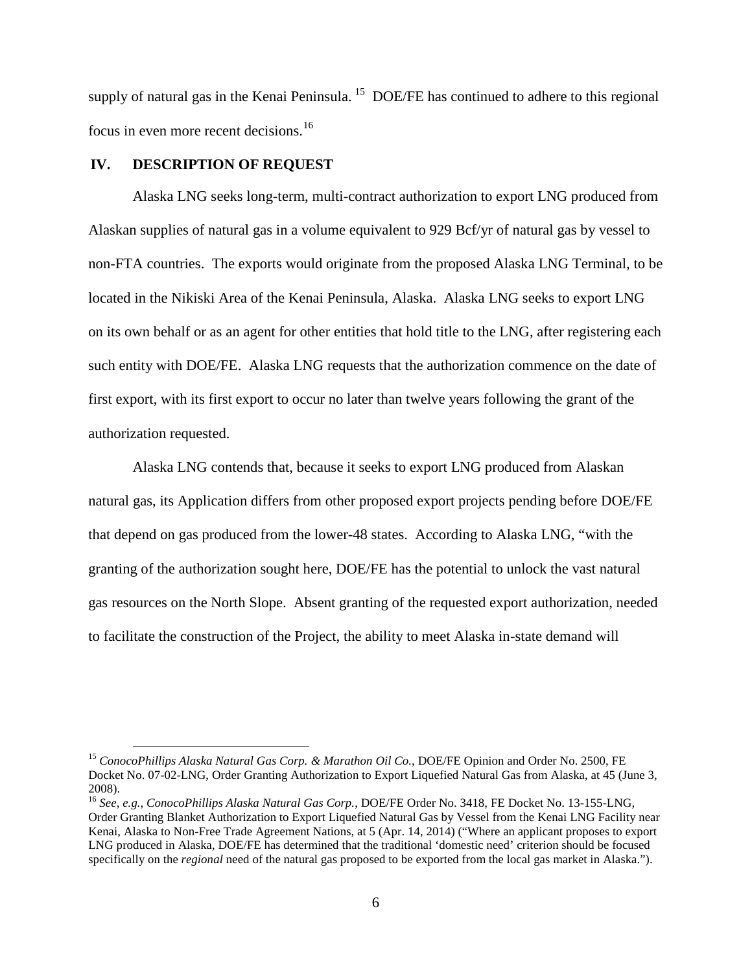supply of natural gas in the Kenai Peninsula.<sup>[15](#page-9-1)</sup> DOE/FE has continued to adhere to this regional focus in even more recent decisions.<sup>[16](#page-9-2)</sup>

# **IV. DESCRIPTION OF REQUEST**

<span id="page-9-0"></span>Alaska LNG seeks long-term, multi-contract authorization to export LNG produced from Alaskan supplies of natural gas in a volume equivalent to 929 Bcf/yr of natural gas by vessel to non-FTA countries. The exports would originate from the proposed Alaska LNG Terminal, to be located in the Nikiski Area of the Kenai Peninsula, Alaska. Alaska LNG seeks to export LNG on its own behalf or as an agent for other entities that hold title to the LNG, after registering each such entity with DOE/FE. Alaska LNG requests that the authorization commence on the date of first export, with its first export to occur no later than twelve years following the grant of the authorization requested.

Alaska LNG contends that, because it seeks to export LNG produced from Alaskan natural gas, its Application differs from other proposed export projects pending before DOE/FE that depend on gas produced from the lower-48 states. According to Alaska LNG, "with the granting of the authorization sought here, DOE/FE has the potential to unlock the vast natural gas resources on the North Slope. Absent granting of the requested export authorization, needed to facilitate the construction of the Project, the ability to meet Alaska in-state demand will

<span id="page-9-1"></span> <sup>15</sup> *ConocoPhillips Alaska Natural Gas Corp. & Marathon Oil Co.*, DOE/FE Opinion and Order No. 2500, FE Docket No. 07-02-LNG, Order Granting Authorization to Export Liquefied Natural Gas from Alaska, at 45 (June 3, 2008).

<span id="page-9-2"></span><sup>16</sup> *See, e.g.*, *ConocoPhillips Alaska Natural Gas Corp.*, DOE/FE Order No. 3418, FE Docket No. 13-155-LNG, Order Granting Blanket Authorization to Export Liquefied Natural Gas by Vessel from the Kenai LNG Facility near Kenai, Alaska to Non-Free Trade Agreement Nations, at 5 (Apr. 14, 2014) ("Where an applicant proposes to export LNG produced in Alaska, DOE/FE has determined that the traditional 'domestic need' criterion should be focused specifically on the *regional* need of the natural gas proposed to be exported from the local gas market in Alaska.").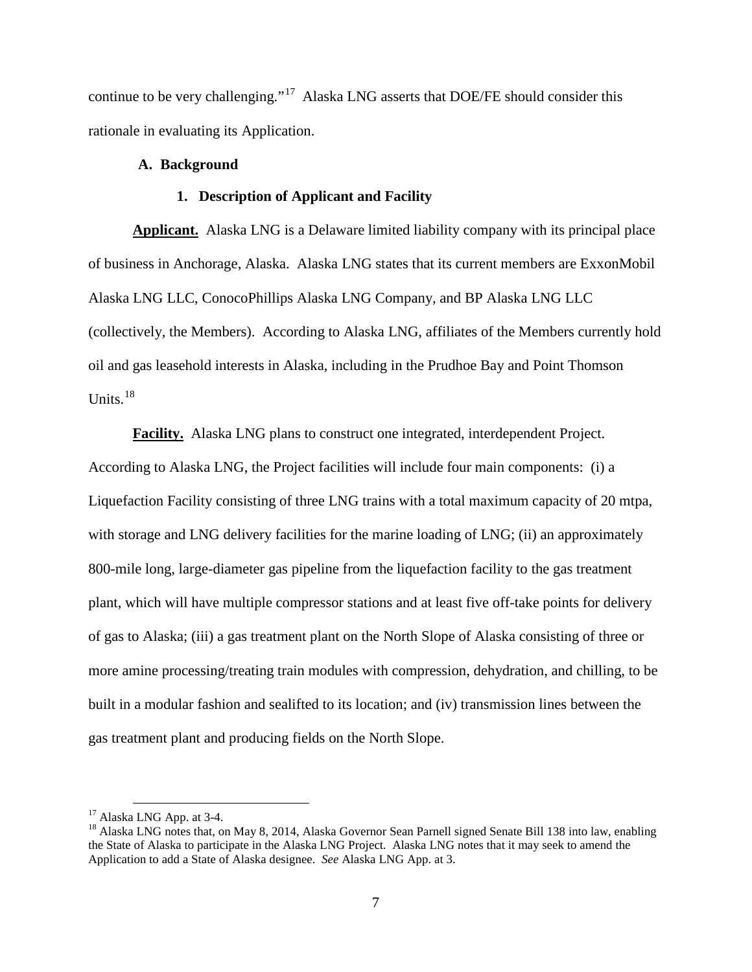continue to be very challenging."<sup>[17](#page-10-2)</sup> Alaska LNG asserts that DOE/FE should consider this rationale in evaluating its Application.

# **A. Background**

# **1. Description of Applicant and Facility**

<span id="page-10-1"></span><span id="page-10-0"></span>**Applicant.** Alaska LNG is a Delaware limited liability company with its principal place of business in Anchorage, Alaska. Alaska LNG states that its current members are ExxonMobil Alaska LNG LLC, ConocoPhillips Alaska LNG Company, and BP Alaska LNG LLC (collectively, the Members). According to Alaska LNG, affiliates of the Members currently hold oil and gas leasehold interests in Alaska, including in the Prudhoe Bay and Point Thomson Units. $18$ 

**Facility.** Alaska LNG plans to construct one integrated, interdependent Project. According to Alaska LNG, the Project facilities will include four main components: (i) a Liquefaction Facility consisting of three LNG trains with a total maximum capacity of 20 mtpa, with storage and LNG delivery facilities for the marine loading of LNG; (ii) an approximately 800-mile long, large-diameter gas pipeline from the liquefaction facility to the gas treatment plant, which will have multiple compressor stations and at least five off-take points for delivery of gas to Alaska; (iii) a gas treatment plant on the North Slope of Alaska consisting of three or more amine processing/treating train modules with compression, dehydration, and chilling, to be built in a modular fashion and sealifted to its location; and (iv) transmission lines between the gas treatment plant and producing fields on the North Slope.

<span id="page-10-3"></span><span id="page-10-2"></span><sup>&</sup>lt;sup>17</sup> Alaska LNG App. at 3-4.<br><sup>18</sup> Alaska LNG notes that, on May 8, 2014, Alaska Governor Sean Parnell signed Senate Bill 138 into law, enabling the State of Alaska to participate in the Alaska LNG Project. Alaska LNG notes that it may seek to amend the Application to add a State of Alaska designee. *See* Alaska LNG App. at 3.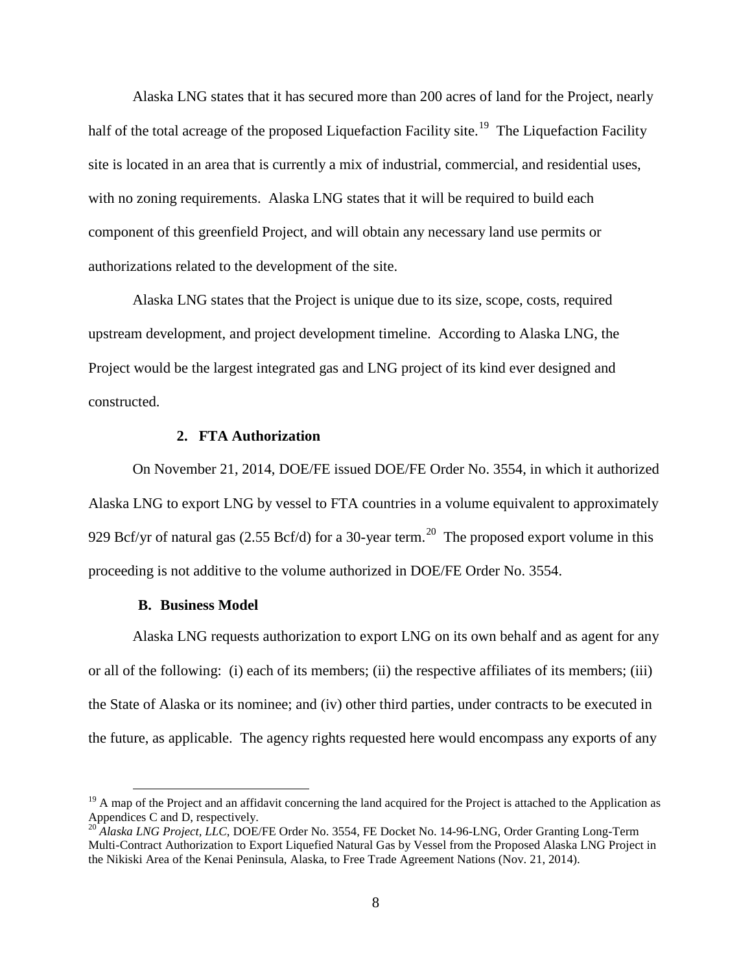Alaska LNG states that it has secured more than 200 acres of land for the Project, nearly half of the total acreage of the proposed Liquefaction Facility site.<sup>[19](#page-11-2)</sup> The Liquefaction Facility site is located in an area that is currently a mix of industrial, commercial, and residential uses, with no zoning requirements. Alaska LNG states that it will be required to build each component of this greenfield Project, and will obtain any necessary land use permits or authorizations related to the development of the site.

Alaska LNG states that the Project is unique due to its size, scope, costs, required upstream development, and project development timeline. According to Alaska LNG, the Project would be the largest integrated gas and LNG project of its kind ever designed and constructed.

# **2. FTA Authorization**

<span id="page-11-0"></span>On November 21, 2014, DOE/FE issued DOE/FE Order No. 3554, in which it authorized Alaska LNG to export LNG by vessel to FTA countries in a volume equivalent to approximately 929 Bcf/yr of natural gas (2.55 Bcf/d) for a 30-year term.<sup>[20](#page-11-3)</sup> The proposed export volume in this proceeding is not additive to the volume authorized in DOE/FE Order No. 3554.

#### **B. Business Model**

<span id="page-11-1"></span>Alaska LNG requests authorization to export LNG on its own behalf and as agent for any or all of the following: (i) each of its members; (ii) the respective affiliates of its members; (iii) the State of Alaska or its nominee; and (iv) other third parties, under contracts to be executed in the future, as applicable. The agency rights requested here would encompass any exports of any

<span id="page-11-2"></span> $19$  A map of the Project and an affidavit concerning the land acquired for the Project is attached to the Application as Appendices C and D, respectively.

<span id="page-11-3"></span><sup>&</sup>lt;sup>20</sup> *Alaska LNG Project, LLC*, DOE/FE Order No. 3554, FE Docket No. 14-96-LNG, Order Granting Long-Term Multi-Contract Authorization to Export Liquefied Natural Gas by Vessel from the Proposed Alaska LNG Project in the Nikiski Area of the Kenai Peninsula, Alaska, to Free Trade Agreement Nations (Nov. 21, 2014).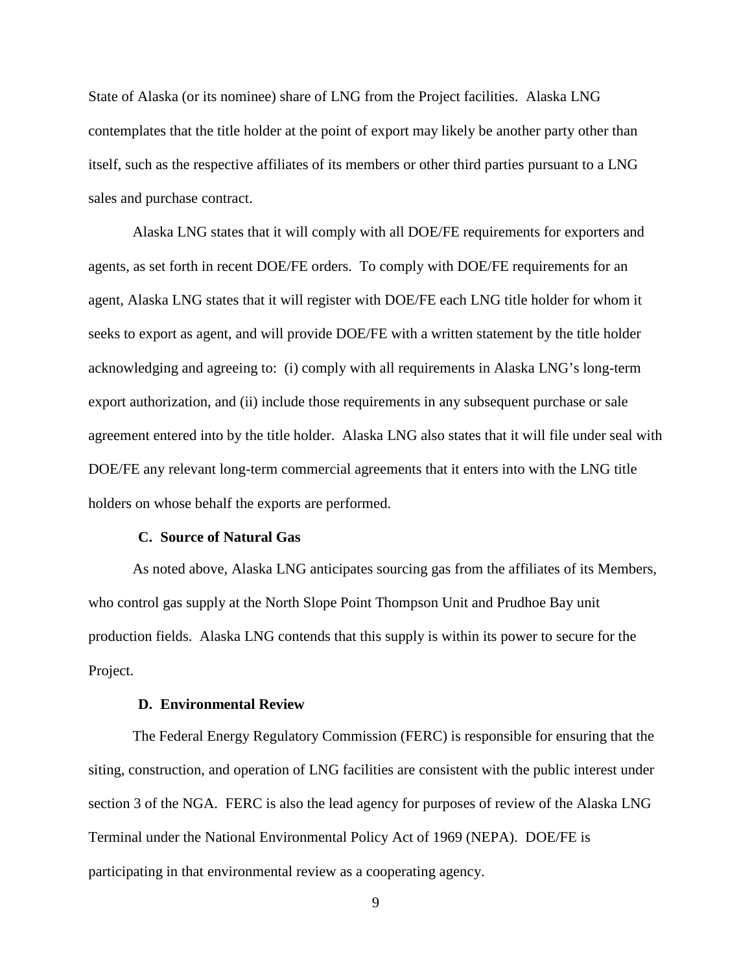State of Alaska (or its nominee) share of LNG from the Project facilities. Alaska LNG contemplates that the title holder at the point of export may likely be another party other than itself, such as the respective affiliates of its members or other third parties pursuant to a LNG sales and purchase contract.

Alaska LNG states that it will comply with all DOE/FE requirements for exporters and agents, as set forth in recent DOE/FE orders. To comply with DOE/FE requirements for an agent, Alaska LNG states that it will register with DOE/FE each LNG title holder for whom it seeks to export as agent, and will provide DOE/FE with a written statement by the title holder acknowledging and agreeing to: (i) comply with all requirements in Alaska LNG's long-term export authorization, and (ii) include those requirements in any subsequent purchase or sale agreement entered into by the title holder. Alaska LNG also states that it will file under seal with DOE/FE any relevant long-term commercial agreements that it enters into with the LNG title holders on whose behalf the exports are performed.

### **C. Source of Natural Gas**

<span id="page-12-0"></span>As noted above, Alaska LNG anticipates sourcing gas from the affiliates of its Members, who control gas supply at the North Slope Point Thompson Unit and Prudhoe Bay unit production fields. Alaska LNG contends that this supply is within its power to secure for the Project.

# **D. Environmental Review**

<span id="page-12-1"></span>The Federal Energy Regulatory Commission (FERC) is responsible for ensuring that the siting, construction, and operation of LNG facilities are consistent with the public interest under section 3 of the NGA. FERC is also the lead agency for purposes of review of the Alaska LNG Terminal under the National Environmental Policy Act of 1969 (NEPA). DOE/FE is participating in that environmental review as a cooperating agency.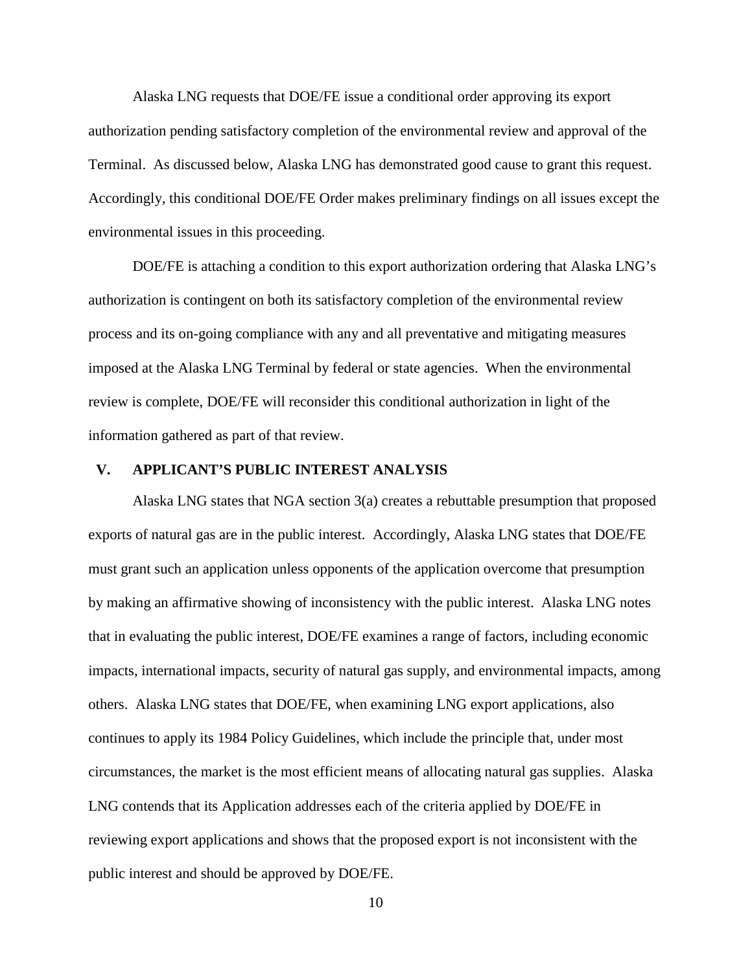Alaska LNG requests that DOE/FE issue a conditional order approving its export authorization pending satisfactory completion of the environmental review and approval of the Terminal. As discussed below, Alaska LNG has demonstrated good cause to grant this request. Accordingly, this conditional DOE/FE Order makes preliminary findings on all issues except the environmental issues in this proceeding.

DOE/FE is attaching a condition to this export authorization ordering that Alaska LNG's authorization is contingent on both its satisfactory completion of the environmental review process and its on-going compliance with any and all preventative and mitigating measures imposed at the Alaska LNG Terminal by federal or state agencies. When the environmental review is complete, DOE/FE will reconsider this conditional authorization in light of the information gathered as part of that review.

# **V. APPLICANT'S PUBLIC INTEREST ANALYSIS**

<span id="page-13-0"></span>Alaska LNG states that NGA section  $3(a)$  creates a rebuttable presumption that proposed exports of natural gas are in the public interest. Accordingly, Alaska LNG states that DOE/FE must grant such an application unless opponents of the application overcome that presumption by making an affirmative showing of inconsistency with the public interest. Alaska LNG notes that in evaluating the public interest, DOE/FE examines a range of factors, including economic impacts, international impacts, security of natural gas supply, and environmental impacts, among others. Alaska LNG states that DOE/FE, when examining LNG export applications, also continues to apply its 1984 Policy Guidelines, which include the principle that, under most circumstances, the market is the most efficient means of allocating natural gas supplies. Alaska LNG contends that its Application addresses each of the criteria applied by DOE/FE in reviewing export applications and shows that the proposed export is not inconsistent with the public interest and should be approved by DOE/FE.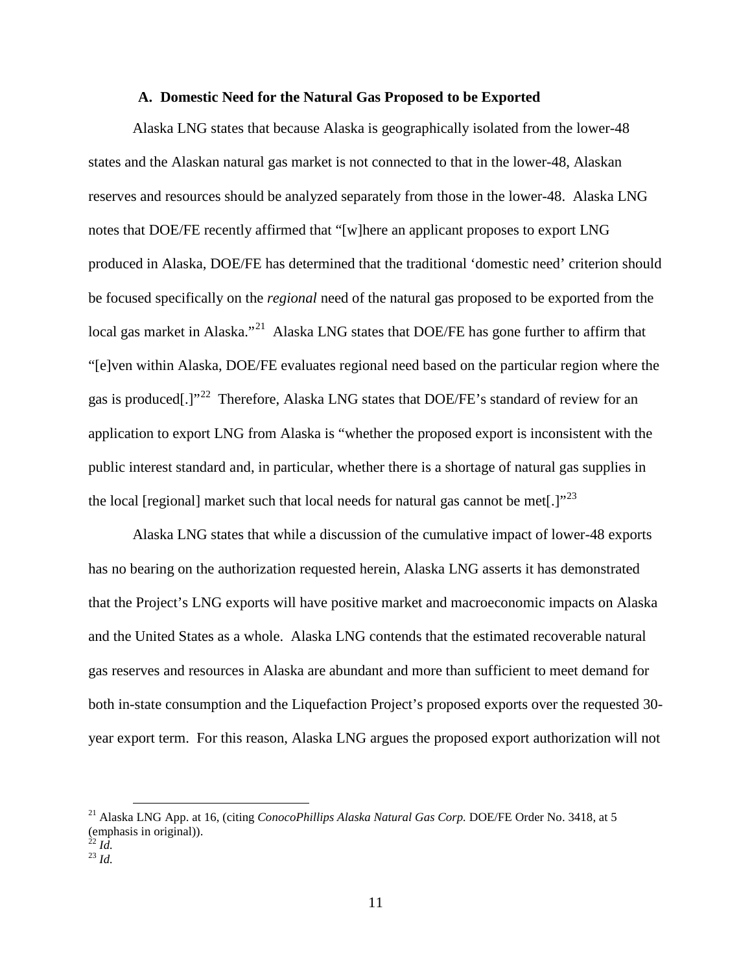## **A. Domestic Need for the Natural Gas Proposed to be Exported**

<span id="page-14-0"></span>Alaska LNG states that because Alaska is geographically isolated from the lower-48 states and the Alaskan natural gas market is not connected to that in the lower-48, Alaskan reserves and resources should be analyzed separately from those in the lower-48. Alaska LNG notes that DOE/FE recently affirmed that "[w]here an applicant proposes to export LNG produced in Alaska, DOE/FE has determined that the traditional 'domestic need' criterion should be focused specifically on the *regional* need of the natural gas proposed to be exported from the local gas market in Alaska."<sup>[21](#page-14-1)</sup> Alaska LNG states that DOE/FE has gone further to affirm that "[e]ven within Alaska, DOE/FE evaluates regional need based on the particular region where the gas is produced[.]"<sup>22</sup> Therefore, Alaska LNG states that DOE/FE's standard of review for an application to export LNG from Alaska is "whether the proposed export is inconsistent with the public interest standard and, in particular, whether there is a shortage of natural gas supplies in the local [regional] market such that local needs for natural gas cannot be met.] $v^{23}$  $v^{23}$  $v^{23}$ 

Alaska LNG states that while a discussion of the cumulative impact of lower-48 exports has no bearing on the authorization requested herein, Alaska LNG asserts it has demonstrated that the Project's LNG exports will have positive market and macroeconomic impacts on Alaska and the United States as a whole. Alaska LNG contends that the estimated recoverable natural gas reserves and resources in Alaska are abundant and more than sufficient to meet demand for both in-state consumption and the Liquefaction Project's proposed exports over the requested 30 year export term. For this reason, Alaska LNG argues the proposed export authorization will not

<span id="page-14-1"></span> <sup>21</sup> Alaska LNG App. at 16, (citing *ConocoPhillips Alaska Natural Gas Corp.* DOE/FE Order No. 3418, at 5 (emphasis in original)).<br> $^{22}$  *Id.* 

<span id="page-14-3"></span><span id="page-14-2"></span> $^{23}$   $\overline{Id}$ .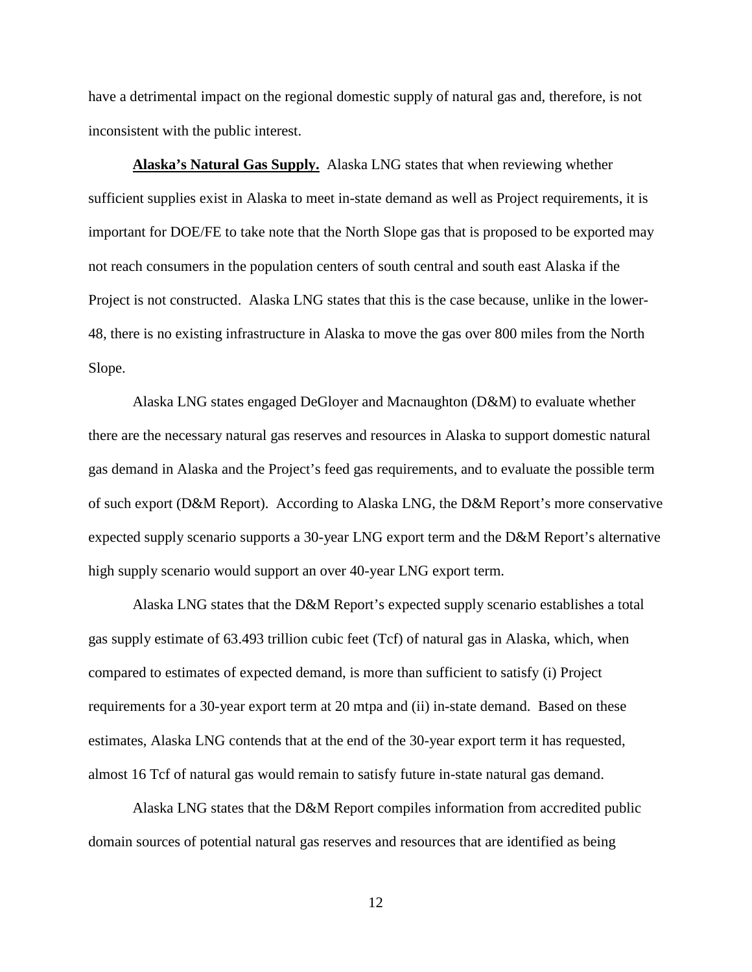have a detrimental impact on the regional domestic supply of natural gas and, therefore, is not inconsistent with the public interest.

**Alaska's Natural Gas Supply.** Alaska LNG states that when reviewing whether sufficient supplies exist in Alaska to meet in-state demand as well as Project requirements, it is important for DOE/FE to take note that the North Slope gas that is proposed to be exported may not reach consumers in the population centers of south central and south east Alaska if the Project is not constructed. Alaska LNG states that this is the case because, unlike in the lower-48, there is no existing infrastructure in Alaska to move the gas over 800 miles from the North Slope.

Alaska LNG states engaged DeGloyer and Macnaughton (D&M) to evaluate whether there are the necessary natural gas reserves and resources in Alaska to support domestic natural gas demand in Alaska and the Project's feed gas requirements, and to evaluate the possible term of such export (D&M Report). According to Alaska LNG, the D&M Report's more conservative expected supply scenario supports a 30-year LNG export term and the D&M Report's alternative high supply scenario would support an over 40-year LNG export term.

Alaska LNG states that the D&M Report's expected supply scenario establishes a total gas supply estimate of 63.493 trillion cubic feet (Tcf) of natural gas in Alaska, which, when compared to estimates of expected demand, is more than sufficient to satisfy (i) Project requirements for a 30-year export term at 20 mtpa and (ii) in-state demand. Based on these estimates, Alaska LNG contends that at the end of the 30-year export term it has requested, almost 16 Tcf of natural gas would remain to satisfy future in-state natural gas demand.

Alaska LNG states that the D&M Report compiles information from accredited public domain sources of potential natural gas reserves and resources that are identified as being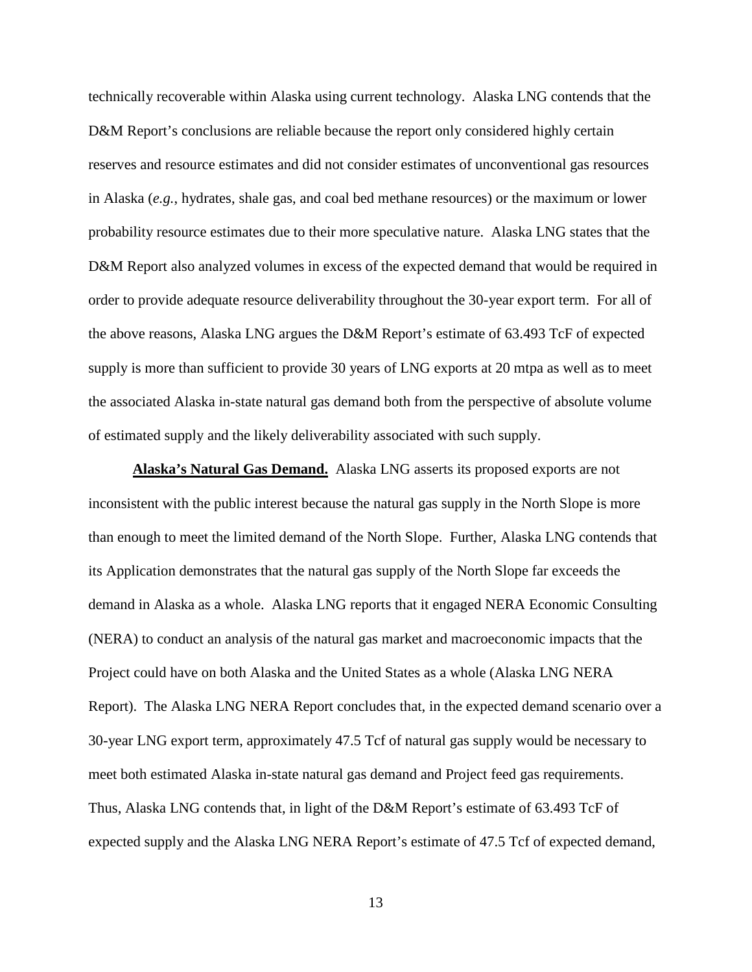technically recoverable within Alaska using current technology. Alaska LNG contends that the D&M Report's conclusions are reliable because the report only considered highly certain reserves and resource estimates and did not consider estimates of unconventional gas resources in Alaska (*e.g.*, hydrates, shale gas, and coal bed methane resources) or the maximum or lower probability resource estimates due to their more speculative nature. Alaska LNG states that the D&M Report also analyzed volumes in excess of the expected demand that would be required in order to provide adequate resource deliverability throughout the 30-year export term. For all of the above reasons, Alaska LNG argues the D&M Report's estimate of 63.493 TcF of expected supply is more than sufficient to provide 30 years of LNG exports at 20 mtpa as well as to meet the associated Alaska in-state natural gas demand both from the perspective of absolute volume of estimated supply and the likely deliverability associated with such supply.

**Alaska's Natural Gas Demand.** Alaska LNG asserts its proposed exports are not inconsistent with the public interest because the natural gas supply in the North Slope is more than enough to meet the limited demand of the North Slope. Further, Alaska LNG contends that its Application demonstrates that the natural gas supply of the North Slope far exceeds the demand in Alaska as a whole. Alaska LNG reports that it engaged NERA Economic Consulting (NERA) to conduct an analysis of the natural gas market and macroeconomic impacts that the Project could have on both Alaska and the United States as a whole (Alaska LNG NERA Report). The Alaska LNG NERA Report concludes that, in the expected demand scenario over a 30-year LNG export term, approximately 47.5 Tcf of natural gas supply would be necessary to meet both estimated Alaska in-state natural gas demand and Project feed gas requirements. Thus, Alaska LNG contends that, in light of the D&M Report's estimate of 63.493 TcF of expected supply and the Alaska LNG NERA Report's estimate of 47.5 Tcf of expected demand,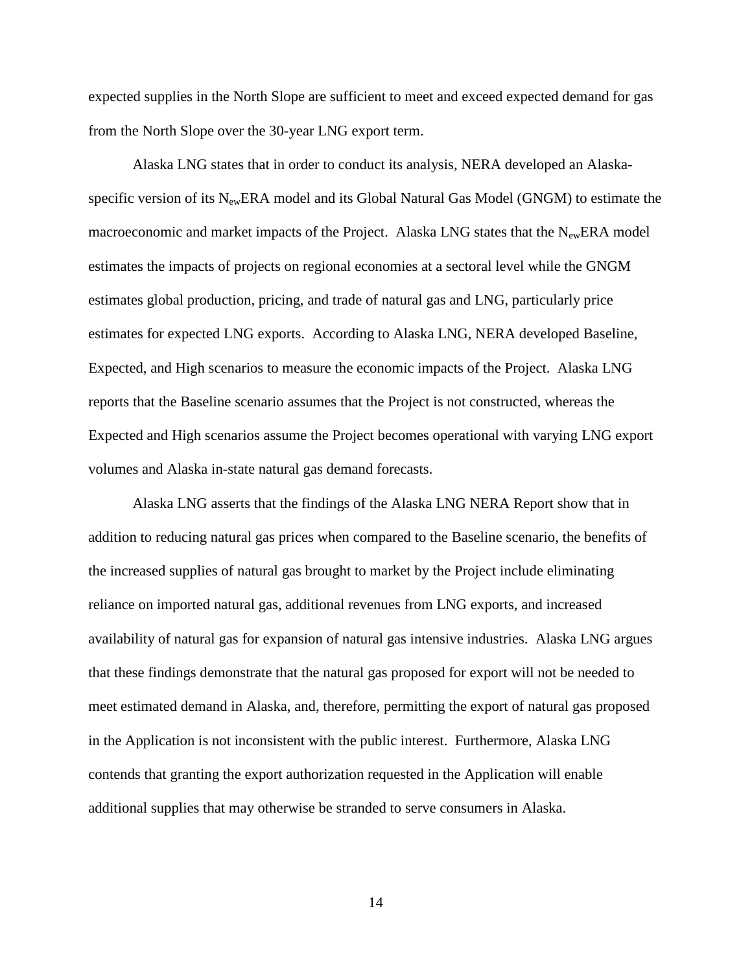expected supplies in the North Slope are sufficient to meet and exceed expected demand for gas from the North Slope over the 30-year LNG export term.

Alaska LNG states that in order to conduct its analysis, NERA developed an Alaskaspecific version of its  $N_{ew}ERA$  model and its Global Natural Gas Model (GNGM) to estimate the macroeconomic and market impacts of the Project. Alaska LNG states that the N<sub>ew</sub>ERA model estimates the impacts of projects on regional economies at a sectoral level while the GNGM estimates global production, pricing, and trade of natural gas and LNG, particularly price estimates for expected LNG exports. According to Alaska LNG, NERA developed Baseline, Expected, and High scenarios to measure the economic impacts of the Project. Alaska LNG reports that the Baseline scenario assumes that the Project is not constructed, whereas the Expected and High scenarios assume the Project becomes operational with varying LNG export volumes and Alaska in-state natural gas demand forecasts.

Alaska LNG asserts that the findings of the Alaska LNG NERA Report show that in addition to reducing natural gas prices when compared to the Baseline scenario, the benefits of the increased supplies of natural gas brought to market by the Project include eliminating reliance on imported natural gas, additional revenues from LNG exports, and increased availability of natural gas for expansion of natural gas intensive industries. Alaska LNG argues that these findings demonstrate that the natural gas proposed for export will not be needed to meet estimated demand in Alaska, and, therefore, permitting the export of natural gas proposed in the Application is not inconsistent with the public interest. Furthermore, Alaska LNG contends that granting the export authorization requested in the Application will enable additional supplies that may otherwise be stranded to serve consumers in Alaska.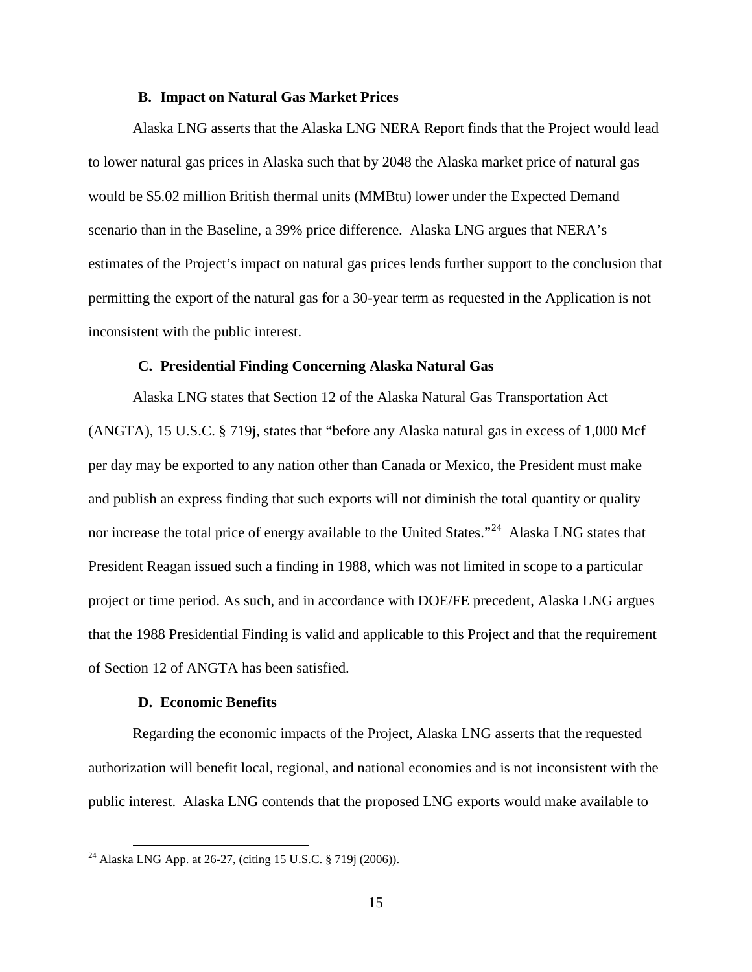# **B. Impact on Natural Gas Market Prices**

<span id="page-18-0"></span>Alaska LNG asserts that the Alaska LNG NERA Report finds that the Project would lead to lower natural gas prices in Alaska such that by 2048 the Alaska market price of natural gas would be \$5.02 million British thermal units (MMBtu) lower under the Expected Demand scenario than in the Baseline, a 39% price difference. Alaska LNG argues that NERA's estimates of the Project's impact on natural gas prices lends further support to the conclusion that permitting the export of the natural gas for a 30-year term as requested in the Application is not inconsistent with the public interest.

#### **C. Presidential Finding Concerning Alaska Natural Gas**

<span id="page-18-1"></span>Alaska LNG states that Section 12 of the Alaska Natural Gas Transportation Act (ANGTA), 15 U.S.C. § 719j, states that "before any Alaska natural gas in excess of 1,000 Mcf per day may be exported to any nation other than Canada or Mexico, the President must make and publish an express finding that such exports will not diminish the total quantity or quality nor increase the total price of energy available to the United States."<sup>[24](#page-18-3)</sup> Alaska LNG states that President Reagan issued such a finding in 1988, which was not limited in scope to a particular project or time period. As such, and in accordance with DOE/FE precedent, Alaska LNG argues that the 1988 Presidential Finding is valid and applicable to this Project and that the requirement of Section 12 of ANGTA has been satisfied.

# **D. Economic Benefits**

<span id="page-18-2"></span>Regarding the economic impacts of the Project, Alaska LNG asserts that the requested authorization will benefit local, regional, and national economies and is not inconsistent with the public interest. Alaska LNG contends that the proposed LNG exports would make available to

<span id="page-18-3"></span> <sup>24</sup> Alaska LNG App. at 26-27, (citing 15 U.S.C. § 719j (2006)).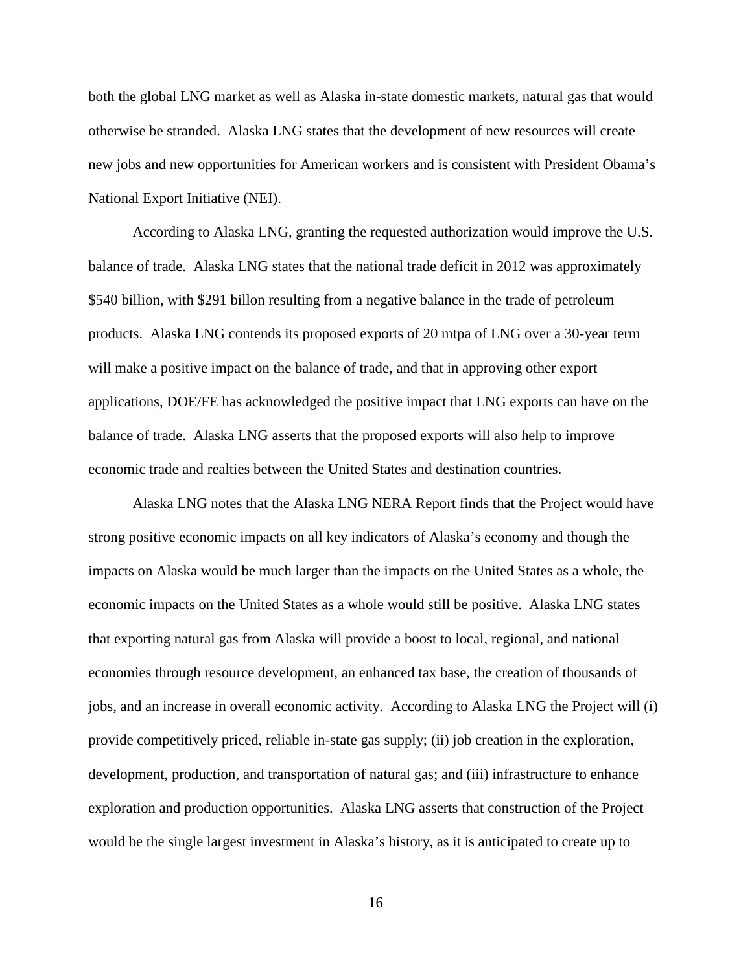both the global LNG market as well as Alaska in-state domestic markets, natural gas that would otherwise be stranded. Alaska LNG states that the development of new resources will create new jobs and new opportunities for American workers and is consistent with President Obama's National Export Initiative (NEI).

According to Alaska LNG, granting the requested authorization would improve the U.S. balance of trade. Alaska LNG states that the national trade deficit in 2012 was approximately \$540 billion, with \$291 billon resulting from a negative balance in the trade of petroleum products. Alaska LNG contends its proposed exports of 20 mtpa of LNG over a 30-year term will make a positive impact on the balance of trade, and that in approving other export applications, DOE/FE has acknowledged the positive impact that LNG exports can have on the balance of trade. Alaska LNG asserts that the proposed exports will also help to improve economic trade and realties between the United States and destination countries.

Alaska LNG notes that the Alaska LNG NERA Report finds that the Project would have strong positive economic impacts on all key indicators of Alaska's economy and though the impacts on Alaska would be much larger than the impacts on the United States as a whole, the economic impacts on the United States as a whole would still be positive. Alaska LNG states that exporting natural gas from Alaska will provide a boost to local, regional, and national economies through resource development, an enhanced tax base, the creation of thousands of jobs, and an increase in overall economic activity. According to Alaska LNG the Project will (i) provide competitively priced, reliable in-state gas supply; (ii) job creation in the exploration, development, production, and transportation of natural gas; and (iii) infrastructure to enhance exploration and production opportunities. Alaska LNG asserts that construction of the Project would be the single largest investment in Alaska's history, as it is anticipated to create up to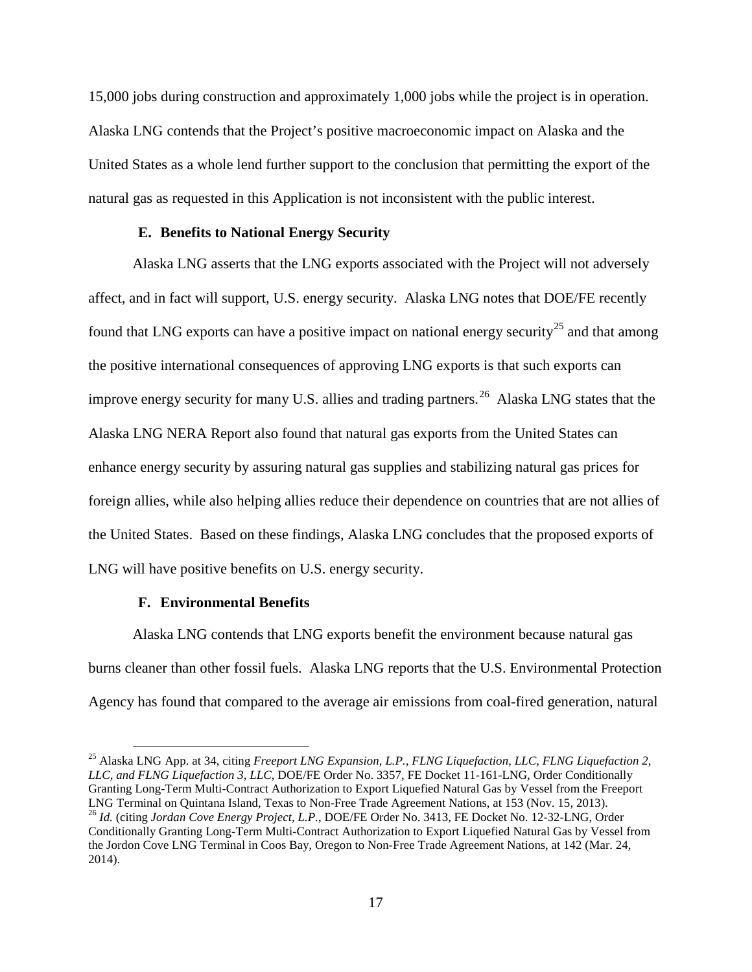15,000 jobs during construction and approximately 1,000 jobs while the project is in operation. Alaska LNG contends that the Project's positive macroeconomic impact on Alaska and the United States as a whole lend further support to the conclusion that permitting the export of the natural gas as requested in this Application is not inconsistent with the public interest.

## **E. Benefits to National Energy Security**

<span id="page-20-0"></span>Alaska LNG asserts that the LNG exports associated with the Project will not adversely affect, and in fact will support, U.S. energy security. Alaska LNG notes that DOE/FE recently found that LNG exports can have a positive impact on national energy security<sup>[25](#page-20-2)</sup> and that among the positive international consequences of approving LNG exports is that such exports can improve energy security for many U.S. allies and trading partners.<sup>26</sup> Alaska LNG states that the Alaska LNG NERA Report also found that natural gas exports from the United States can enhance energy security by assuring natural gas supplies and stabilizing natural gas prices for foreign allies, while also helping allies reduce their dependence on countries that are not allies of the United States. Based on these findings, Alaska LNG concludes that the proposed exports of LNG will have positive benefits on U.S. energy security.

# **F. Environmental Benefits**

<span id="page-20-1"></span>Alaska LNG contends that LNG exports benefit the environment because natural gas burns cleaner than other fossil fuels. Alaska LNG reports that the U.S. Environmental Protection Agency has found that compared to the average air emissions from coal-fired generation, natural

<span id="page-20-3"></span><span id="page-20-2"></span> <sup>25</sup> Alaska LNG App. at 34, citing *Freeport LNG Expansion, L.P., FLNG Liquefaction, LLC, FLNG Liquefaction 2, LLC, and FLNG Liquefaction 3, LLC*, DOE/FE Order No. 3357, FE Docket 11-161-LNG, Order Conditionally Granting Long-Term Multi-Contract Authorization to Export Liquefied Natural Gas by Vessel from the Freeport LNG Terminal on Quintana Island, Texas to Non-Free Trade Agreement Nations, at 153 (Nov. 15, 2013). <sup>26</sup> Id. (citing Jordan Cove Energy Project, L.P., DOE/FE Order No. 3413, FE Docket No. 12-32-LNG, Order Conditionally Granting Long-Term Multi-Contract Authorization to Export Liquefied Natural Gas by Vessel from the Jordon Cove LNG Terminal in Coos Bay, Oregon to Non-Free Trade Agreement Nations, at 142 (Mar. 24, 2014).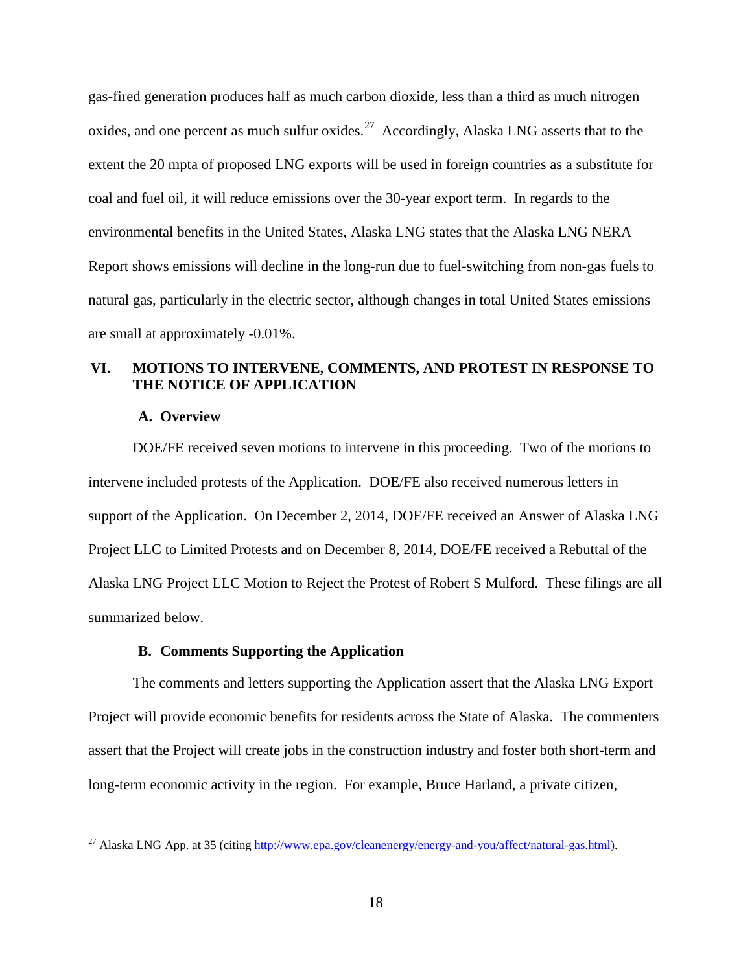gas-fired generation produces half as much carbon dioxide, less than a third as much nitrogen oxides, and one percent as much sulfur oxides.<sup>[27](#page-21-3)</sup> Accordingly, Alaska LNG asserts that to the extent the 20 mpta of proposed LNG exports will be used in foreign countries as a substitute for coal and fuel oil, it will reduce emissions over the 30-year export term. In regards to the environmental benefits in the United States, Alaska LNG states that the Alaska LNG NERA Report shows emissions will decline in the long-run due to fuel-switching from non-gas fuels to natural gas, particularly in the electric sector, although changes in total United States emissions are small at approximately -0.01%.

# **VI. MOTIONS TO INTERVENE, COMMENTS, AND PROTEST IN RESPONSE TO THE NOTICE OF APPLICATION**

## **A. Overview**

<span id="page-21-1"></span><span id="page-21-0"></span>DOE/FE received seven motions to intervene in this proceeding. Two of the motions to intervene included protests of the Application. DOE/FE also received numerous letters in support of the Application. On December 2, 2014, DOE/FE received an Answer of Alaska LNG Project LLC to Limited Protests and on December 8, 2014, DOE/FE received a Rebuttal of the Alaska LNG Project LLC Motion to Reject the Protest of Robert S Mulford. These filings are all summarized below.

# **B. Comments Supporting the Application**

<span id="page-21-2"></span>The comments and letters supporting the Application assert that the Alaska LNG Export Project will provide economic benefits for residents across the State of Alaska. The commenters assert that the Project will create jobs in the construction industry and foster both short-term and long-term economic activity in the region. For example, Bruce Harland, a private citizen,

<span id="page-21-3"></span><sup>&</sup>lt;sup>27</sup> Alaska LNG App. at 35 (citing [http://www.epa.gov/cleanenergy/energy-and-you/affect/natural-gas.html\)](http://www.epa.gov/cleanenergy/energy-and-you/affect/natural-gas.html).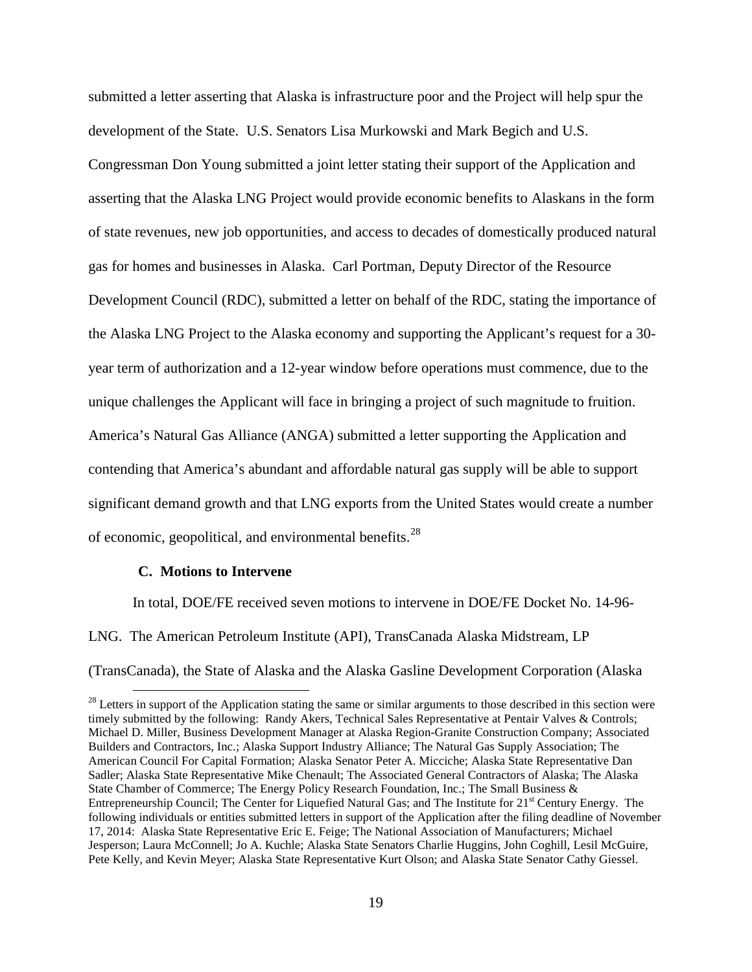submitted a letter asserting that Alaska is infrastructure poor and the Project will help spur the development of the State. U.S. Senators Lisa Murkowski and Mark Begich and U.S. Congressman Don Young submitted a joint letter stating their support of the Application and asserting that the Alaska LNG Project would provide economic benefits to Alaskans in the form of state revenues, new job opportunities, and access to decades of domestically produced natural gas for homes and businesses in Alaska. Carl Portman, Deputy Director of the Resource Development Council (RDC), submitted a letter on behalf of the RDC, stating the importance of the Alaska LNG Project to the Alaska economy and supporting the Applicant's request for a 30 year term of authorization and a 12-year window before operations must commence, due to the unique challenges the Applicant will face in bringing a project of such magnitude to fruition. America's Natural Gas Alliance (ANGA) submitted a letter supporting the Application and contending that America's abundant and affordable natural gas supply will be able to support significant demand growth and that LNG exports from the United States would create a number of economic, geopolitical, and environmental benefits.<sup>28</sup>

#### **C. Motions to Intervene**

<span id="page-22-0"></span>In total, DOE/FE received seven motions to intervene in DOE/FE Docket No. 14-96- LNG. The American Petroleum Institute (API), TransCanada Alaska Midstream, LP (TransCanada), the State of Alaska and the Alaska Gasline Development Corporation (Alaska

<span id="page-22-1"></span> $28$  Letters in support of the Application stating the same or similar arguments to those described in this section were timely submitted by the following: Randy Akers, Technical Sales Representative at Pentair Valves & Controls; Michael D. Miller, Business Development Manager at Alaska Region-Granite Construction Company; Associated Builders and Contractors, Inc.; Alaska Support Industry Alliance; The Natural Gas Supply Association; The American Council For Capital Formation; Alaska Senator Peter A. Micciche; Alaska State Representative Dan Sadler; Alaska State Representative Mike Chenault; The Associated General Contractors of Alaska; The Alaska State Chamber of Commerce; The Energy Policy Research Foundation, Inc.; The Small Business & Entrepreneurship Council; The Center for Liquefied Natural Gas; and The Institute for 21<sup>st</sup> Century Energy. The following individuals or entities submitted letters in support of the Application after the filing deadline of November 17, 2014: Alaska State Representative Eric E. Feige; The National Association of Manufacturers; Michael Jesperson; Laura McConnell; Jo A. Kuchle; Alaska State Senators Charlie Huggins, John Coghill, Lesil McGuire, Pete Kelly, and Kevin Meyer; Alaska State Representative Kurt Olson; and Alaska State Senator Cathy Giessel.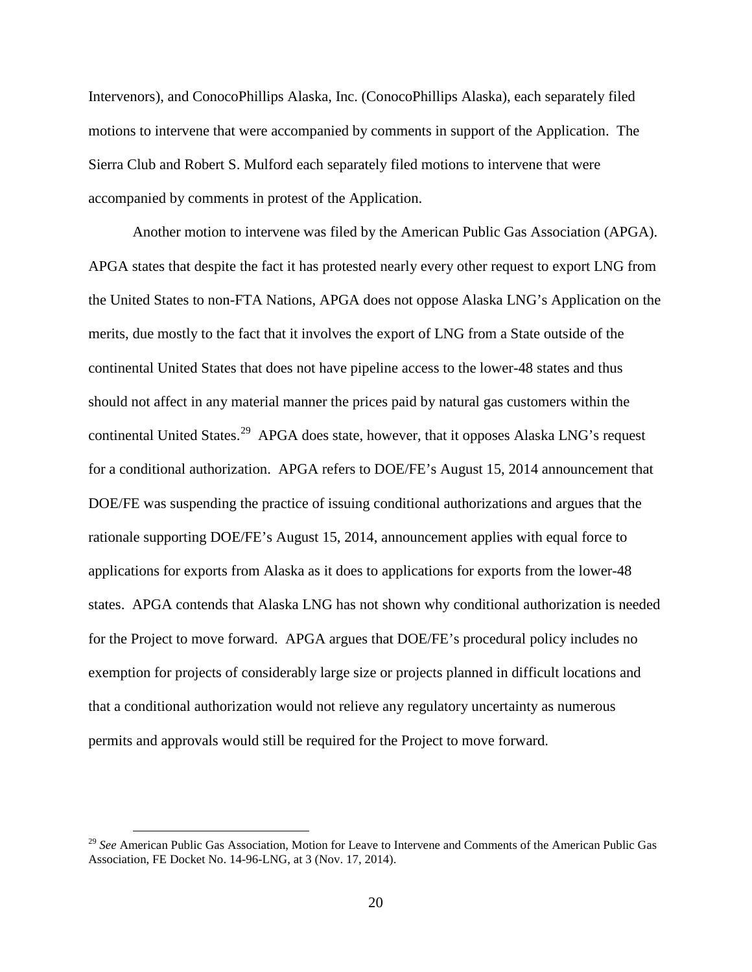Intervenors), and ConocoPhillips Alaska, Inc. (ConocoPhillips Alaska), each separately filed motions to intervene that were accompanied by comments in support of the Application. The Sierra Club and Robert S. Mulford each separately filed motions to intervene that were accompanied by comments in protest of the Application.

Another motion to intervene was filed by the American Public Gas Association (APGA). APGA states that despite the fact it has protested nearly every other request to export LNG from the United States to non-FTA Nations, APGA does not oppose Alaska LNG's Application on the merits, due mostly to the fact that it involves the export of LNG from a State outside of the continental United States that does not have pipeline access to the lower-48 states and thus should not affect in any material manner the prices paid by natural gas customers within the continental United States.<sup>[29](#page-23-0)</sup> APGA does state, however, that it opposes Alaska LNG's request for a conditional authorization. APGA refers to DOE/FE's August 15, 2014 announcement that DOE/FE was suspending the practice of issuing conditional authorizations and argues that the rationale supporting DOE/FE's August 15, 2014, announcement applies with equal force to applications for exports from Alaska as it does to applications for exports from the lower-48 states. APGA contends that Alaska LNG has not shown why conditional authorization is needed for the Project to move forward. APGA argues that DOE/FE's procedural policy includes no exemption for projects of considerably large size or projects planned in difficult locations and that a conditional authorization would not relieve any regulatory uncertainty as numerous permits and approvals would still be required for the Project to move forward.

<span id="page-23-0"></span> <sup>29</sup> *See* American Public Gas Association, Motion for Leave to Intervene and Comments of the American Public Gas Association, FE Docket No. 14-96-LNG, at 3 (Nov. 17, 2014).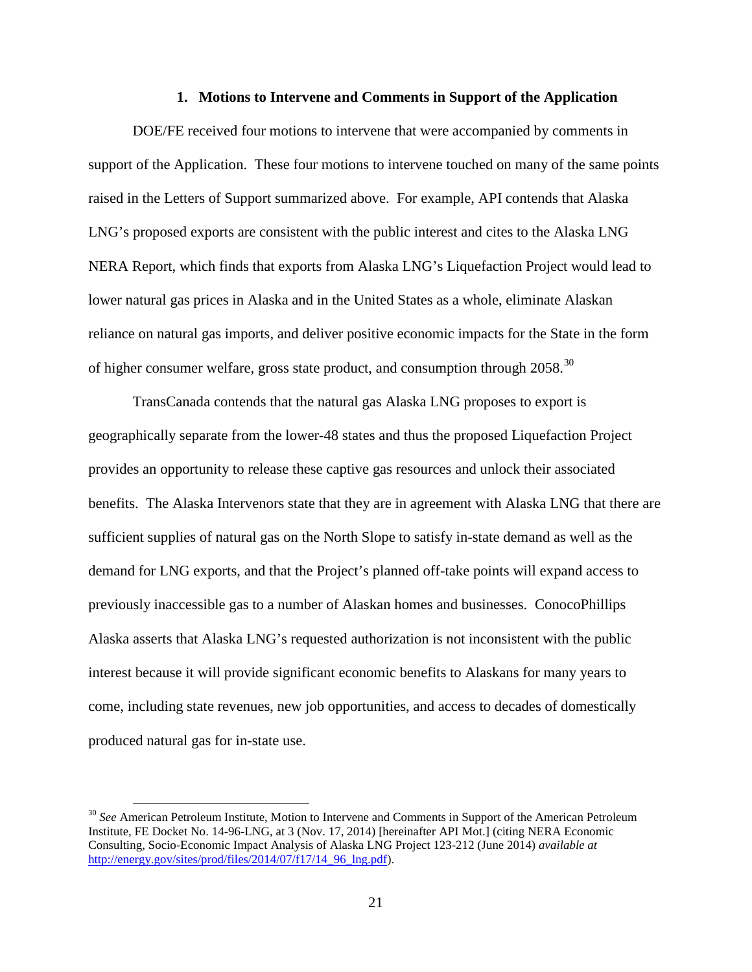#### **1. Motions to Intervene and Comments in Support of the Application**

<span id="page-24-0"></span>DOE/FE received four motions to intervene that were accompanied by comments in support of the Application. These four motions to intervene touched on many of the same points raised in the Letters of Support summarized above. For example, API contends that Alaska LNG's proposed exports are consistent with the public interest and cites to the Alaska LNG NERA Report, which finds that exports from Alaska LNG's Liquefaction Project would lead to lower natural gas prices in Alaska and in the United States as a whole, eliminate Alaskan reliance on natural gas imports, and deliver positive economic impacts for the State in the form of higher consumer welfare, gross state product, and consumption through 2058.<sup>30</sup>

TransCanada contends that the natural gas Alaska LNG proposes to export is geographically separate from the lower-48 states and thus the proposed Liquefaction Project provides an opportunity to release these captive gas resources and unlock their associated benefits. The Alaska Intervenors state that they are in agreement with Alaska LNG that there are sufficient supplies of natural gas on the North Slope to satisfy in-state demand as well as the demand for LNG exports, and that the Project's planned off-take points will expand access to previously inaccessible gas to a number of Alaskan homes and businesses. ConocoPhillips Alaska asserts that Alaska LNG's requested authorization is not inconsistent with the public interest because it will provide significant economic benefits to Alaskans for many years to come, including state revenues, new job opportunities, and access to decades of domestically produced natural gas for in-state use.

<span id="page-24-1"></span><sup>&</sup>lt;sup>30</sup> See American Petroleum Institute, Motion to Intervene and Comments in Support of the American Petroleum Institute, FE Docket No. 14-96-LNG, at 3 (Nov. 17, 2014) [hereinafter API Mot.] (citing NERA Economic Consulting, Socio-Economic Impact Analysis of Alaska LNG Project 123-212 (June 2014) *available at* [http://energy.gov/sites/prod/files/2014/07/f17/14\\_96\\_lng.pdf\)](http://energy.gov/sites/prod/files/2014/07/f17/14_96_lng.pdf).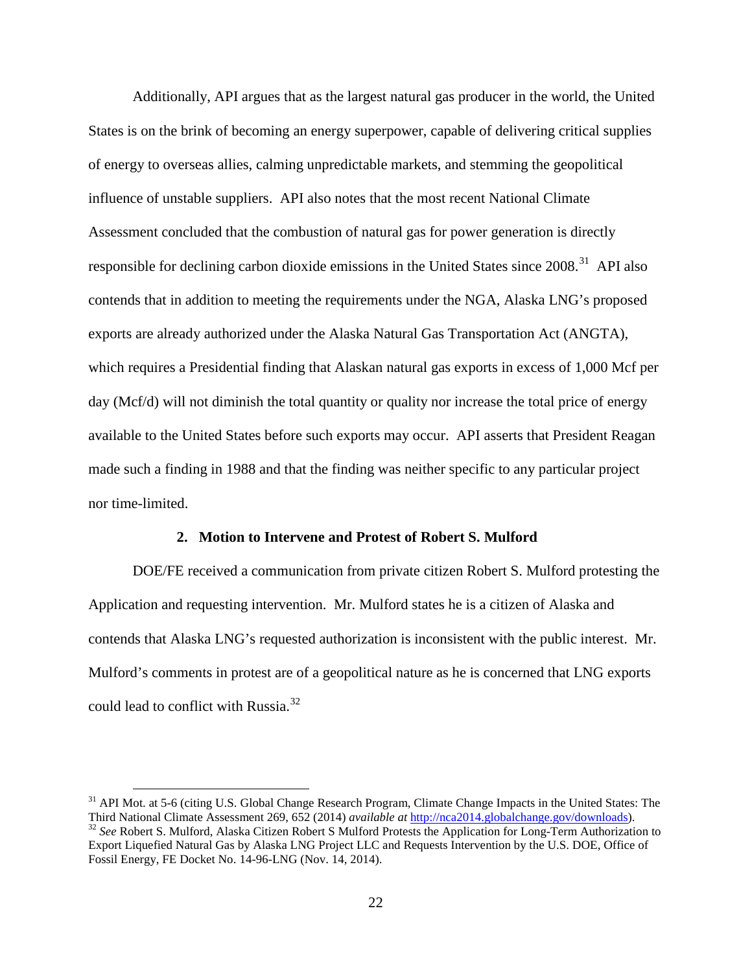Additionally, API argues that as the largest natural gas producer in the world, the United States is on the brink of becoming an energy superpower, capable of delivering critical supplies of energy to overseas allies, calming unpredictable markets, and stemming the geopolitical influence of unstable suppliers. API also notes that the most recent National Climate Assessment concluded that the combustion of natural gas for power generation is directly responsible for declining carbon dioxide emissions in the United States since 2008.<sup>[31](#page-25-1)</sup> API also contends that in addition to meeting the requirements under the NGA, Alaska LNG's proposed exports are already authorized under the Alaska Natural Gas Transportation Act (ANGTA), which requires a Presidential finding that Alaskan natural gas exports in excess of 1,000 Mcf per day (Mcf/d) will not diminish the total quantity or quality nor increase the total price of energy available to the United States before such exports may occur. API asserts that President Reagan made such a finding in 1988 and that the finding was neither specific to any particular project nor time-limited.

### **2. Motion to Intervene and Protest of Robert S. Mulford**

<span id="page-25-0"></span>DOE/FE received a communication from private citizen Robert S. Mulford protesting the Application and requesting intervention. Mr. Mulford states he is a citizen of Alaska and contends that Alaska LNG's requested authorization is inconsistent with the public interest. Mr. Mulford's comments in protest are of a geopolitical nature as he is concerned that LNG exports could lead to conflict with Russia.<sup>[32](#page-25-2)</sup>

<span id="page-25-2"></span><span id="page-25-1"></span><sup>&</sup>lt;sup>31</sup> API Mot. at 5-6 (citing U.S. Global Change Research Program, Climate Change Impacts in the United States: The Third National Climate Assessment 269, 652 (2014) *available at* http://nca2014.globalchange.gov/downloads <sup>32</sup> See Robert S. Mulford, Alaska Citizen Robert S Mulford Protests the Application for Long-Term Authorization to Export Liquefied Natural Gas by Alaska LNG Project LLC and Requests Intervention by the U.S. DOE, Office of Fossil Energy, FE Docket No. 14-96-LNG (Nov. 14, 2014).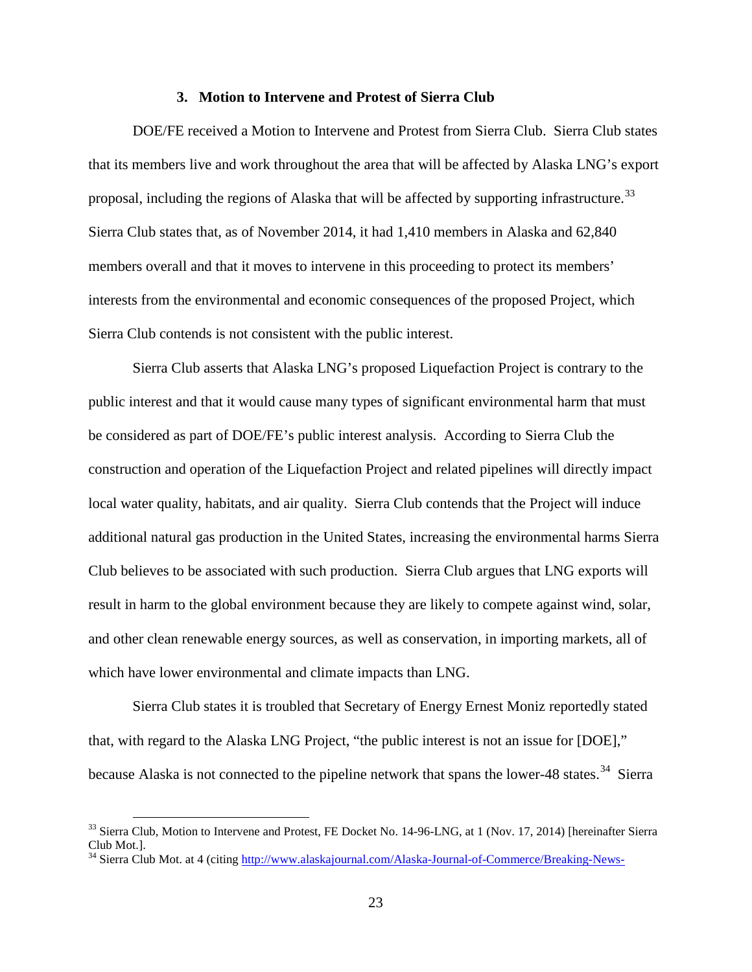#### **3. Motion to Intervene and Protest of Sierra Club**

<span id="page-26-0"></span>DOE/FE received a Motion to Intervene and Protest from Sierra Club. Sierra Club states that its members live and work throughout the area that will be affected by Alaska LNG's export proposal, including the regions of Alaska that will be affected by supporting infrastructure.<sup>[33](#page-26-1)</sup> Sierra Club states that, as of November 2014, it had 1,410 members in Alaska and 62,840 members overall and that it moves to intervene in this proceeding to protect its members' interests from the environmental and economic consequences of the proposed Project, which Sierra Club contends is not consistent with the public interest.

Sierra Club asserts that Alaska LNG's proposed Liquefaction Project is contrary to the public interest and that it would cause many types of significant environmental harm that must be considered as part of DOE/FE's public interest analysis. According to Sierra Club the construction and operation of the Liquefaction Project and related pipelines will directly impact local water quality, habitats, and air quality. Sierra Club contends that the Project will induce additional natural gas production in the United States, increasing the environmental harms Sierra Club believes to be associated with such production. Sierra Club argues that LNG exports will result in harm to the global environment because they are likely to compete against wind, solar, and other clean renewable energy sources, as well as conservation, in importing markets, all of which have lower environmental and climate impacts than LNG.

Sierra Club states it is troubled that Secretary of Energy Ernest Moniz reportedly stated that, with regard to the Alaska LNG Project, "the public interest is not an issue for [DOE]," because Alaska is not connected to the pipeline network that spans the lower-48 states.<sup>[34](#page-26-2)</sup> Sierra

<span id="page-26-1"></span><sup>&</sup>lt;sup>33</sup> Sierra Club, Motion to Intervene and Protest, FE Docket No. 14-96-LNG, at 1 (Nov. 17, 2014) [hereinafter Sierra Club Mot.].<br><sup>34</sup> Sierra Club Mot. at 4 (citing [http://www.alaskajournal.com/Alaska-Journal-of-Commerce/Breaking-News-](http://www.alaskajournal.com/Alaska-Journal-of-Commerce/Breaking-News-2013/DOE-to-streamline-export-license-review-for-Alaska-LNG-project/)

<span id="page-26-2"></span>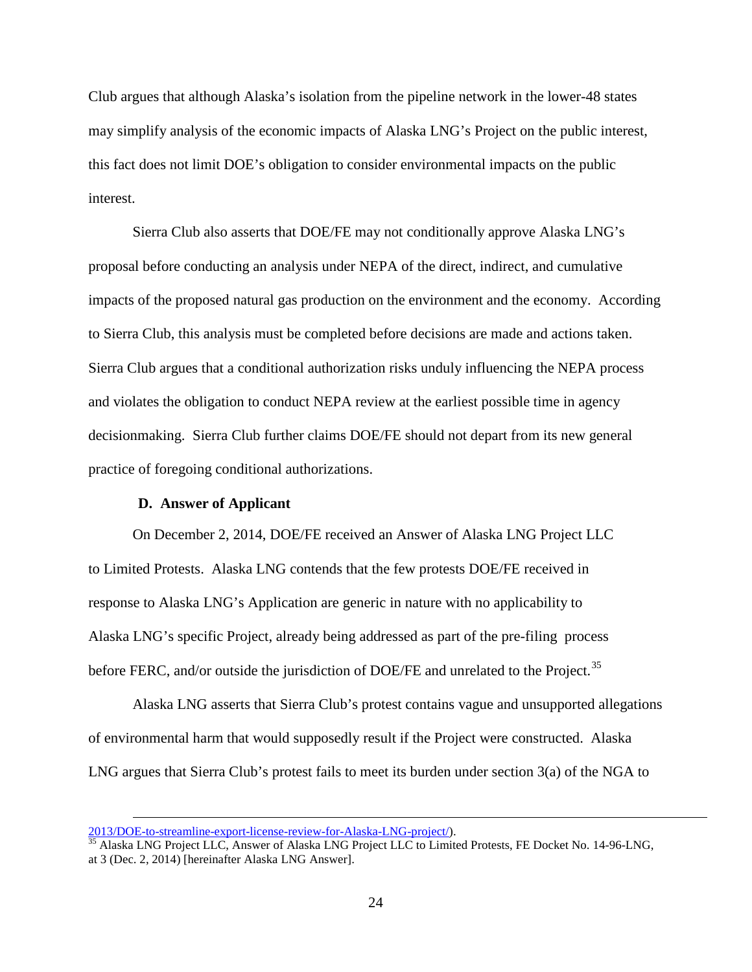Club argues that although Alaska's isolation from the pipeline network in the lower-48 states may simplify analysis of the economic impacts of Alaska LNG's Project on the public interest, this fact does not limit DOE's obligation to consider environmental impacts on the public interest.

Sierra Club also asserts that DOE/FE may not conditionally approve Alaska LNG's proposal before conducting an analysis under NEPA of the direct, indirect, and cumulative impacts of the proposed natural gas production on the environment and the economy. According to Sierra Club, this analysis must be completed before decisions are made and actions taken. Sierra Club argues that a conditional authorization risks unduly influencing the NEPA process and violates the obligation to conduct NEPA review at the earliest possible time in agency decisionmaking. Sierra Club further claims DOE/FE should not depart from its new general practice of foregoing conditional authorizations.

# **D. Answer of Applicant**

<span id="page-27-0"></span>On December 2, 2014, DOE/FE received an Answer of Alaska LNG Project LLC to Limited Protests. Alaska LNG contends that the few protests DOE/FE received in response to Alaska LNG's Application are generic in nature with no applicability to Alaska LNG's specific Project, already being addressed as part of the pre-filing process before FERC, and/or outside the jurisdiction of DOE/FE and unrelated to the Project.<sup>[35](#page-27-1)</sup>

Alaska LNG asserts that Sierra Club's protest contains vague and unsupported allegations of environmental harm that would supposedly result if the Project were constructed. Alaska LNG argues that Sierra Club's protest fails to meet its burden under section 3(a) of the NGA to

 $\overline{a}$ 

<span id="page-27-1"></span>[<sup>2013/</sup>DOE-to-streamline-export-license-review-for-Alaska-LNG-project/\)](http://www.alaskajournal.com/Alaska-Journal-of-Commerce/Breaking-News-2013/DOE-to-streamline-export-license-review-for-Alaska-LNG-project/).<br><sup>35</sup> Alaska LNG Project LLC, Answer of Alaska LNG Project LLC to Limited Protests, FE Docket No. 14-96-LNG, at 3 (Dec. 2, 2014) [hereinafter Alaska LNG Answer].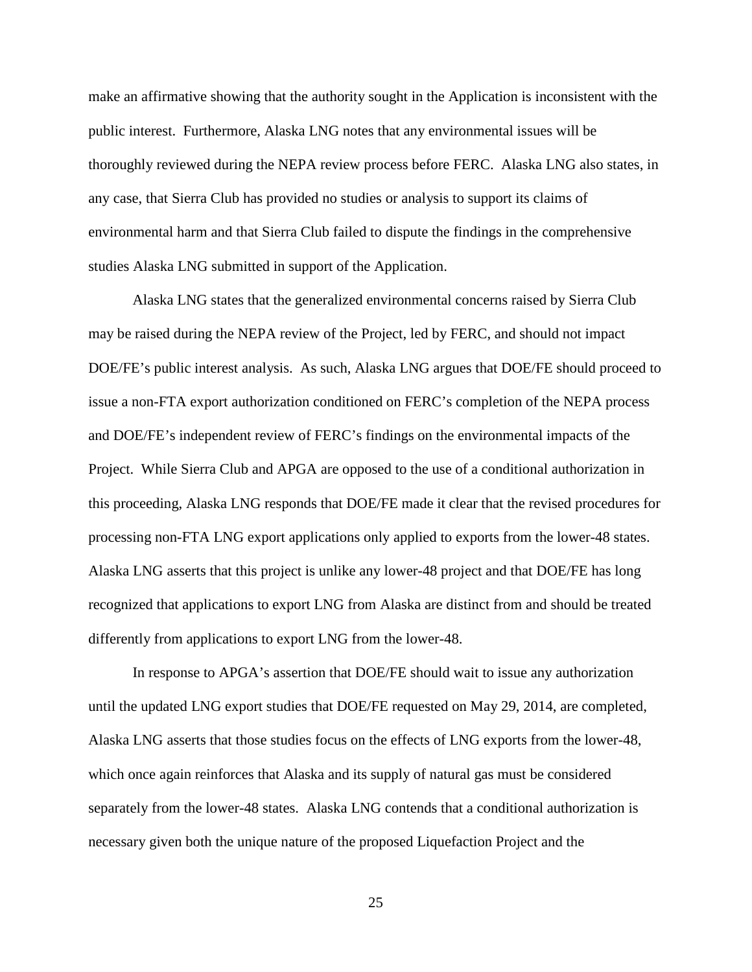make an affirmative showing that the authority sought in the Application is inconsistent with the public interest. Furthermore, Alaska LNG notes that any environmental issues will be thoroughly reviewed during the NEPA review process before FERC. Alaska LNG also states, in any case, that Sierra Club has provided no studies or analysis to support its claims of environmental harm and that Sierra Club failed to dispute the findings in the comprehensive studies Alaska LNG submitted in support of the Application.

Alaska LNG states that the generalized environmental concerns raised by Sierra Club may be raised during the NEPA review of the Project, led by FERC, and should not impact DOE/FE's public interest analysis. As such, Alaska LNG argues that DOE/FE should proceed to issue a non-FTA export authorization conditioned on FERC's completion of the NEPA process and DOE/FE's independent review of FERC's findings on the environmental impacts of the Project. While Sierra Club and APGA are opposed to the use of a conditional authorization in this proceeding, Alaska LNG responds that DOE/FE made it clear that the revised procedures for processing non-FTA LNG export applications only applied to exports from the lower-48 states. Alaska LNG asserts that this project is unlike any lower-48 project and that DOE/FE has long recognized that applications to export LNG from Alaska are distinct from and should be treated differently from applications to export LNG from the lower-48.

In response to APGA's assertion that DOE/FE should wait to issue any authorization until the updated LNG export studies that DOE/FE requested on May 29, 2014, are completed, Alaska LNG asserts that those studies focus on the effects of LNG exports from the lower-48, which once again reinforces that Alaska and its supply of natural gas must be considered separately from the lower-48 states. Alaska LNG contends that a conditional authorization is necessary given both the unique nature of the proposed Liquefaction Project and the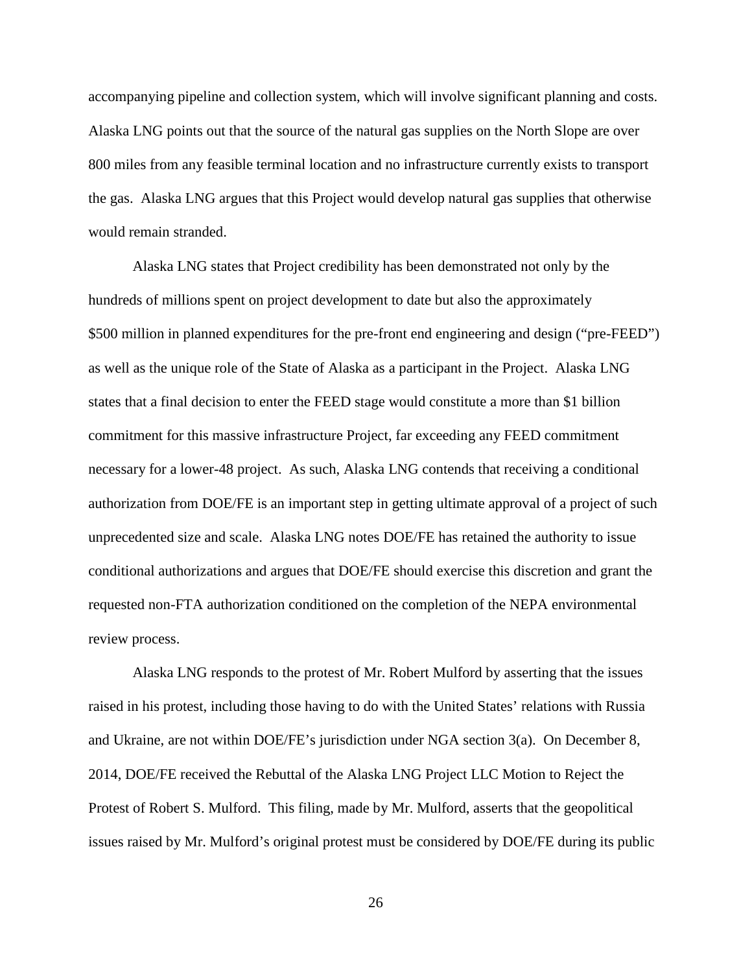accompanying pipeline and collection system, which will involve significant planning and costs. Alaska LNG points out that the source of the natural gas supplies on the North Slope are over 800 miles from any feasible terminal location and no infrastructure currently exists to transport the gas. Alaska LNG argues that this Project would develop natural gas supplies that otherwise would remain stranded.

Alaska LNG states that Project credibility has been demonstrated not only by the hundreds of millions spent on project development to date but also the approximately \$500 million in planned expenditures for the pre-front end engineering and design ("pre-FEED") as well as the unique role of the State of Alaska as a participant in the Project. Alaska LNG states that a final decision to enter the FEED stage would constitute a more than \$1 billion commitment for this massive infrastructure Project, far exceeding any FEED commitment necessary for a lower-48 project. As such, Alaska LNG contends that receiving a conditional authorization from DOE/FE is an important step in getting ultimate approval of a project of such unprecedented size and scale. Alaska LNG notes DOE/FE has retained the authority to issue conditional authorizations and argues that DOE/FE should exercise this discretion and grant the requested non-FTA authorization conditioned on the completion of the NEPA environmental review process.

Alaska LNG responds to the protest of Mr. Robert Mulford by asserting that the issues raised in his protest, including those having to do with the United States' relations with Russia and Ukraine, are not within DOE/FE's jurisdiction under NGA section 3(a). On December 8, 2014, DOE/FE received the Rebuttal of the Alaska LNG Project LLC Motion to Reject the Protest of Robert S. Mulford. This filing, made by Mr. Mulford, asserts that the geopolitical issues raised by Mr. Mulford's original protest must be considered by DOE/FE during its public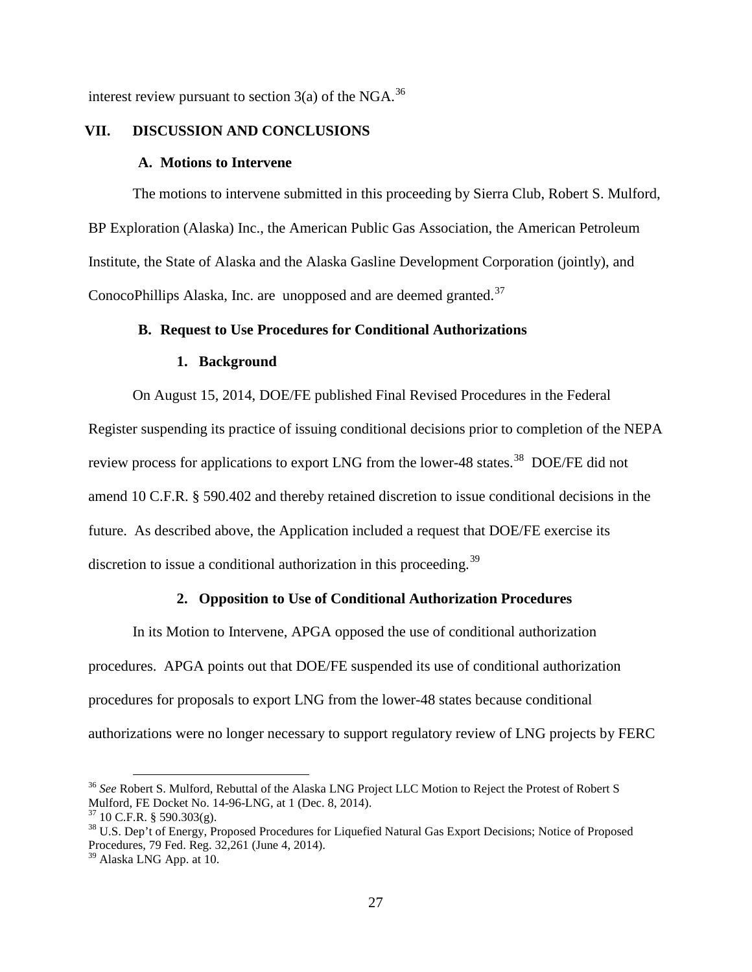interest review pursuant to section  $3(a)$  of the NGA.<sup>[36](#page-30-5)</sup>

# **VII. DISCUSSION AND CONCLUSIONS**

#### **A. Motions to Intervene**

<span id="page-30-1"></span><span id="page-30-0"></span>The motions to intervene submitted in this proceeding by Sierra Club, Robert S. Mulford, BP Exploration (Alaska) Inc., the American Public Gas Association, the American Petroleum Institute, the State of Alaska and the Alaska Gasline Development Corporation (jointly), and ConocoPhillips Alaska, Inc. are unopposed and are deemed granted.<sup>[37](#page-30-6)</sup>

# **B. Request to Use Procedures for Conditional Authorizations**

#### **1. Background**

<span id="page-30-3"></span><span id="page-30-2"></span>On August 15, 2014, DOE/FE published Final Revised Procedures in the Federal Register suspending its practice of issuing conditional decisions prior to completion of the NEPA review process for applications to export LNG from the lower-48 states.<sup>[38](#page-30-7)</sup> DOE/FE did not amend 10 C.F.R. § 590.402 and thereby retained discretion to issue conditional decisions in the future. As described above, the Application included a request that DOE/FE exercise its discretion to issue a conditional authorization in this proceeding.<sup>[39](#page-30-8)</sup>

## **2. Opposition to Use of Conditional Authorization Procedures**

<span id="page-30-4"></span>In its Motion to Intervene, APGA opposed the use of conditional authorization procedures. APGA points out that DOE/FE suspended its use of conditional authorization procedures for proposals to export LNG from the lower-48 states because conditional authorizations were no longer necessary to support regulatory review of LNG projects by FERC

<span id="page-30-5"></span><sup>&</sup>lt;sup>36</sup> *See* Robert S. Mulford, Rebuttal of the Alaska LNG Project LLC Motion to Reject the Protest of Robert S Mulford, FE Docket No. 14-96-LNG, at 1 (Dec. 8, 2014).

<span id="page-30-7"></span><span id="page-30-6"></span><sup>&</sup>lt;sup>37</sup> 10 C.F.R. § 590.303(g).<br><sup>38</sup> U.S. Dep't of Energy, Proposed Procedures for Liquefied Natural Gas Export Decisions; Notice of Proposed Procedures, 79 Fed. Reg. 32,261 (June 4, 2014).

<span id="page-30-8"></span><sup>39</sup> Alaska LNG App. at 10.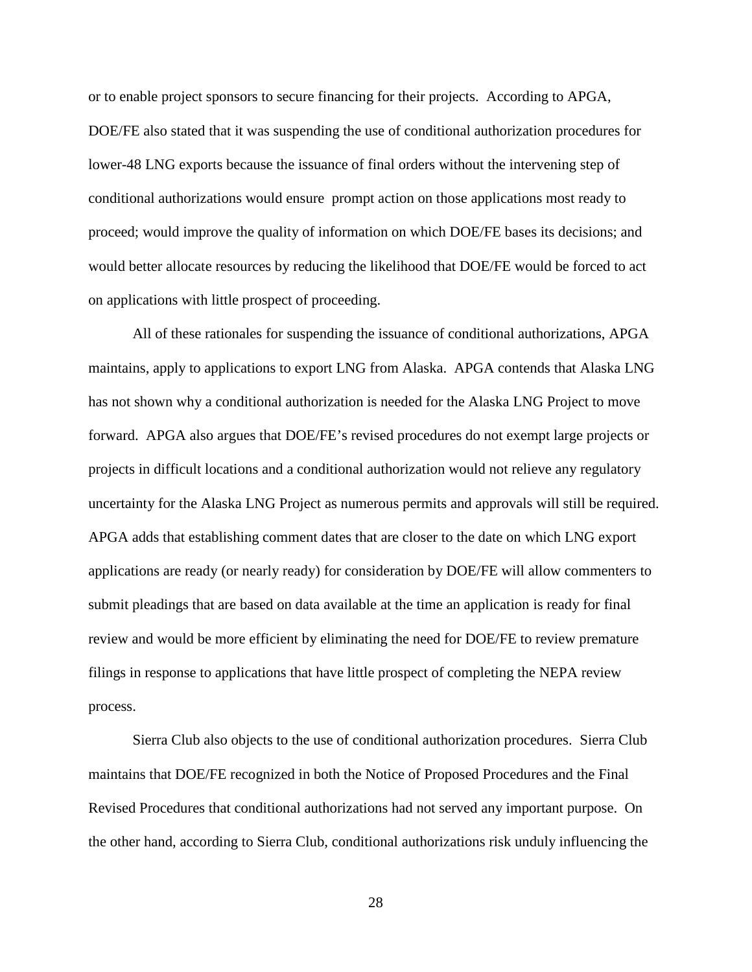or to enable project sponsors to secure financing for their projects. According to APGA, DOE/FE also stated that it was suspending the use of conditional authorization procedures for lower-48 LNG exports because the issuance of final orders without the intervening step of conditional authorizations would ensure prompt action on those applications most ready to proceed; would improve the quality of information on which DOE/FE bases its decisions; and would better allocate resources by reducing the likelihood that DOE/FE would be forced to act on applications with little prospect of proceeding.

All of these rationales for suspending the issuance of conditional authorizations, APGA maintains, apply to applications to export LNG from Alaska. APGA contends that Alaska LNG has not shown why a conditional authorization is needed for the Alaska LNG Project to move forward. APGA also argues that DOE/FE's revised procedures do not exempt large projects or projects in difficult locations and a conditional authorization would not relieve any regulatory uncertainty for the Alaska LNG Project as numerous permits and approvals will still be required. APGA adds that establishing comment dates that are closer to the date on which LNG export applications are ready (or nearly ready) for consideration by DOE/FE will allow commenters to submit pleadings that are based on data available at the time an application is ready for final review and would be more efficient by eliminating the need for DOE/FE to review premature filings in response to applications that have little prospect of completing the NEPA review process.

Sierra Club also objects to the use of conditional authorization procedures. Sierra Club maintains that DOE/FE recognized in both the Notice of Proposed Procedures and the Final Revised Procedures that conditional authorizations had not served any important purpose. On the other hand, according to Sierra Club, conditional authorizations risk unduly influencing the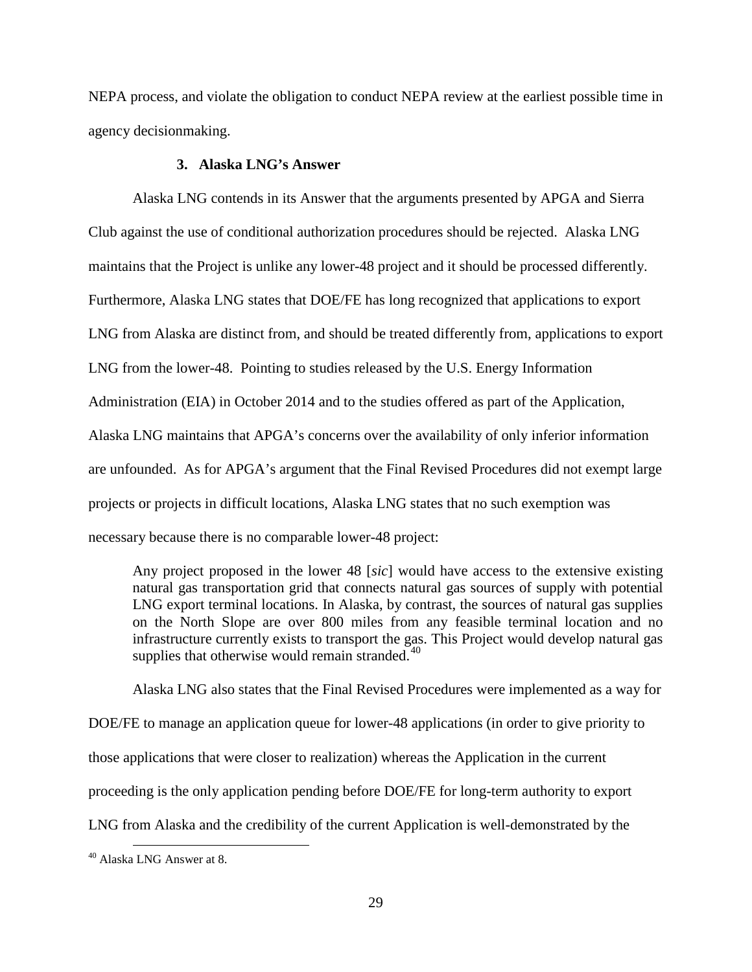NEPA process, and violate the obligation to conduct NEPA review at the earliest possible time in agency decisionmaking.

# **3. Alaska LNG's Answer**

<span id="page-32-0"></span>Alaska LNG contends in its Answer that the arguments presented by APGA and Sierra Club against the use of conditional authorization procedures should be rejected. Alaska LNG maintains that the Project is unlike any lower-48 project and it should be processed differently. Furthermore, Alaska LNG states that DOE/FE has long recognized that applications to export LNG from Alaska are distinct from, and should be treated differently from, applications to export LNG from the lower-48. Pointing to studies released by the U.S. Energy Information Administration (EIA) in October 2014 and to the studies offered as part of the Application, Alaska LNG maintains that APGA's concerns over the availability of only inferior information are unfounded. As for APGA's argument that the Final Revised Procedures did not exempt large projects or projects in difficult locations, Alaska LNG states that no such exemption was necessary because there is no comparable lower-48 project:

Any project proposed in the lower 48 [*sic*] would have access to the extensive existing natural gas transportation grid that connects natural gas sources of supply with potential LNG export terminal locations. In Alaska, by contrast, the sources of natural gas supplies on the North Slope are over 800 miles from any feasible terminal location and no infrastructure currently exists to transport the gas. This Project would develop natural gas supplies that otherwise would remain stranded.<sup>[40](#page-32-1)</sup>

Alaska LNG also states that the Final Revised Procedures were implemented as a way for DOE/FE to manage an application queue for lower-48 applications (in order to give priority to those applications that were closer to realization) whereas the Application in the current proceeding is the only application pending before DOE/FE for long-term authority to export LNG from Alaska and the credibility of the current Application is well-demonstrated by the

<span id="page-32-1"></span><sup>&</sup>lt;sup>40</sup> Alaska LNG Answer at 8.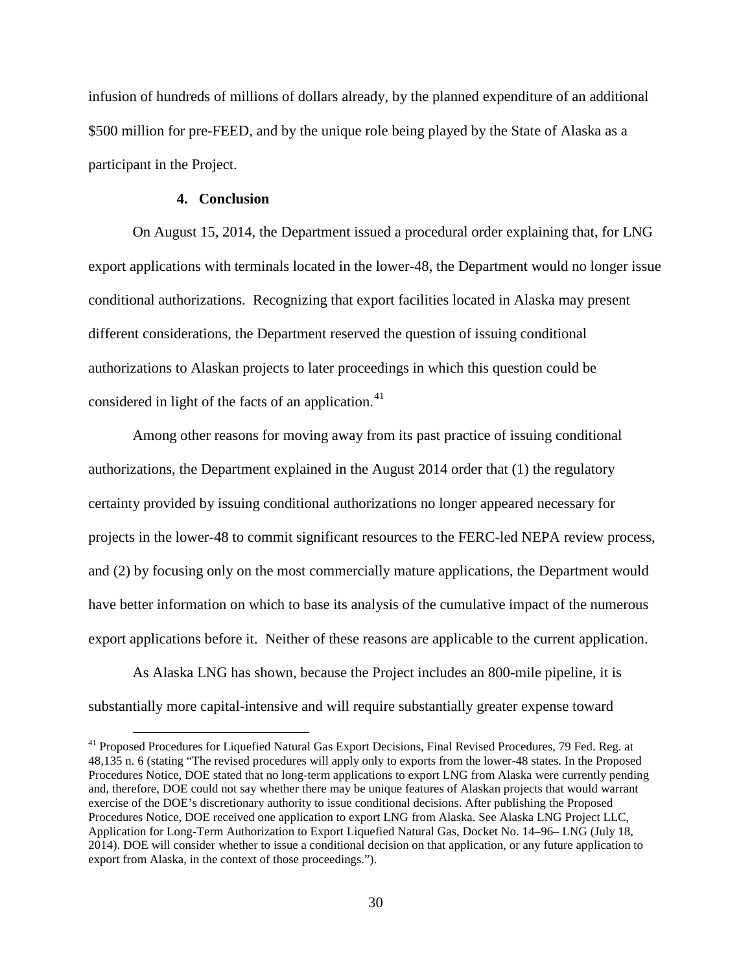infusion of hundreds of millions of dollars already, by the planned expenditure of an additional \$500 million for pre-FEED, and by the unique role being played by the State of Alaska as a participant in the Project.

# **4. Conclusion**

<span id="page-33-0"></span>On August 15, 2014, the Department issued a procedural order explaining that, for LNG export applications with terminals located in the lower-48, the Department would no longer issue conditional authorizations. Recognizing that export facilities located in Alaska may present different considerations, the Department reserved the question of issuing conditional authorizations to Alaskan projects to later proceedings in which this question could be considered in light of the facts of an application.<sup>[41](#page-33-1)</sup>

Among other reasons for moving away from its past practice of issuing conditional authorizations, the Department explained in the August 2014 order that (1) the regulatory certainty provided by issuing conditional authorizations no longer appeared necessary for projects in the lower-48 to commit significant resources to the FERC-led NEPA review process, and (2) by focusing only on the most commercially mature applications, the Department would have better information on which to base its analysis of the cumulative impact of the numerous export applications before it. Neither of these reasons are applicable to the current application.

As Alaska LNG has shown, because the Project includes an 800-mile pipeline, it is substantially more capital-intensive and will require substantially greater expense toward

<span id="page-33-1"></span><sup>&</sup>lt;sup>41</sup> Proposed Procedures for Liquefied Natural Gas Export Decisions, Final Revised Procedures, 79 Fed. Reg. at 48,135 n. 6 (stating "The revised procedures will apply only to exports from the lower-48 states. In the Proposed Procedures Notice, DOE stated that no long-term applications to export LNG from Alaska were currently pending and, therefore, DOE could not say whether there may be unique features of Alaskan projects that would warrant exercise of the DOE's discretionary authority to issue conditional decisions. After publishing the Proposed Procedures Notice, DOE received one application to export LNG from Alaska. See Alaska LNG Project LLC, Application for Long-Term Authorization to Export Liquefied Natural Gas, Docket No. 14–96– LNG (July 18, 2014). DOE will consider whether to issue a conditional decision on that application, or any future application to export from Alaska, in the context of those proceedings.").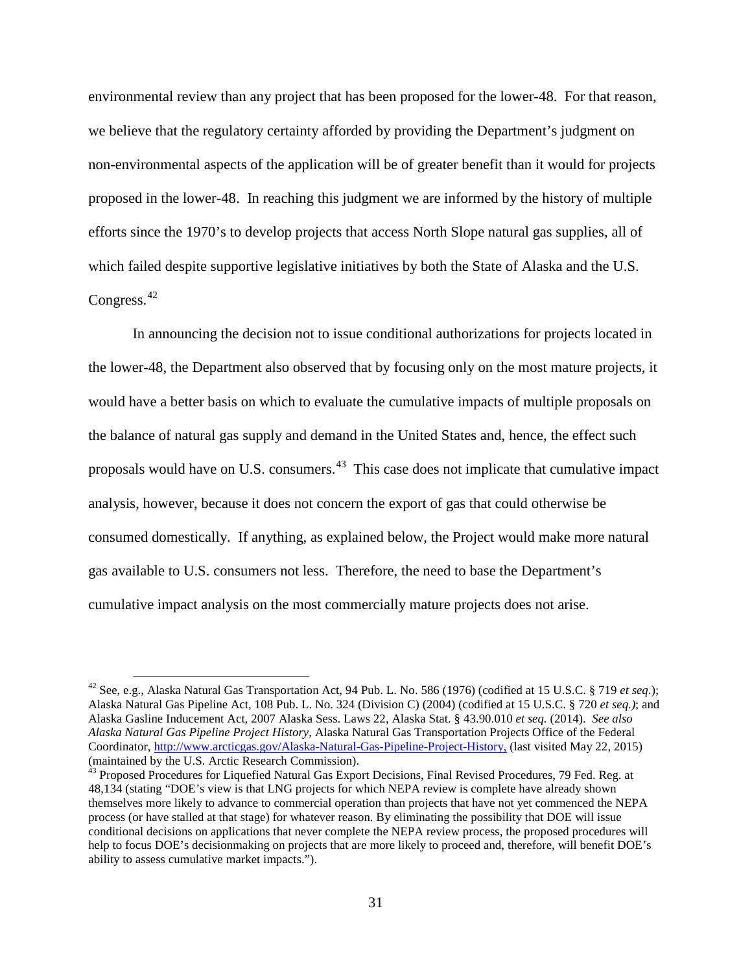environmental review than any project that has been proposed for the lower-48. For that reason, we believe that the regulatory certainty afforded by providing the Department's judgment on non-environmental aspects of the application will be of greater benefit than it would for projects proposed in the lower-48. In reaching this judgment we are informed by the history of multiple efforts since the 1970's to develop projects that access North Slope natural gas supplies, all of which failed despite supportive legislative initiatives by both the State of Alaska and the U.S. Congress.<sup>[42](#page-34-0)</sup>

In announcing the decision not to issue conditional authorizations for projects located in the lower-48, the Department also observed that by focusing only on the most mature projects, it would have a better basis on which to evaluate the cumulative impacts of multiple proposals on the balance of natural gas supply and demand in the United States and, hence, the effect such proposals would have on U.S. consumers.<sup>[43](#page-34-1)</sup> This case does not implicate that cumulative impact analysis, however, because it does not concern the export of gas that could otherwise be consumed domestically. If anything, as explained below, the Project would make more natural gas available to U.S. consumers not less. Therefore, the need to base the Department's cumulative impact analysis on the most commercially mature projects does not arise.

<span id="page-34-0"></span> <sup>42</sup> See, e.g., Alaska Natural Gas Transportation Act, 94 Pub. L. No. 586 (1976) (codified at 15 U.S.C. § 719 *et seq.*); Alaska Natural Gas Pipeline Act, 108 Pub. L. No. 324 (Division C) (2004) (codified at 15 U.S.C. § 720 *et seq.)*; and Alaska Gasline Inducement Act, 2007 Alaska Sess. Laws 22, Alaska Stat. § 43.90.010 *et seq.* (2014). *See also Alaska Natural Gas Pipeline Project History*, Alaska Natural Gas Transportation Projects Office of the Federal Coordinator, [http://www.arcticgas.gov/Alaska-Natural-Gas-Pipeline-Project-History,](http://www.arcticgas.gov/Alaska-Natural-Gas-Pipeline-Project-History) (last visited May 22, 2015) (maintained by the U.S. Arctic Research Commission).

<span id="page-34-1"></span><sup>&</sup>lt;sup>43</sup> Proposed Procedures for Liquefied Natural Gas Export Decisions, Final Revised Procedures, 79 Fed. Reg. at 48,134 (stating "DOE's view is that LNG projects for which NEPA review is complete have already shown themselves more likely to advance to commercial operation than projects that have not yet commenced the NEPA process (or have stalled at that stage) for whatever reason. By eliminating the possibility that DOE will issue conditional decisions on applications that never complete the NEPA review process, the proposed procedures will help to focus DOE's decisionmaking on projects that are more likely to proceed and, therefore, will benefit DOE's ability to assess cumulative market impacts.").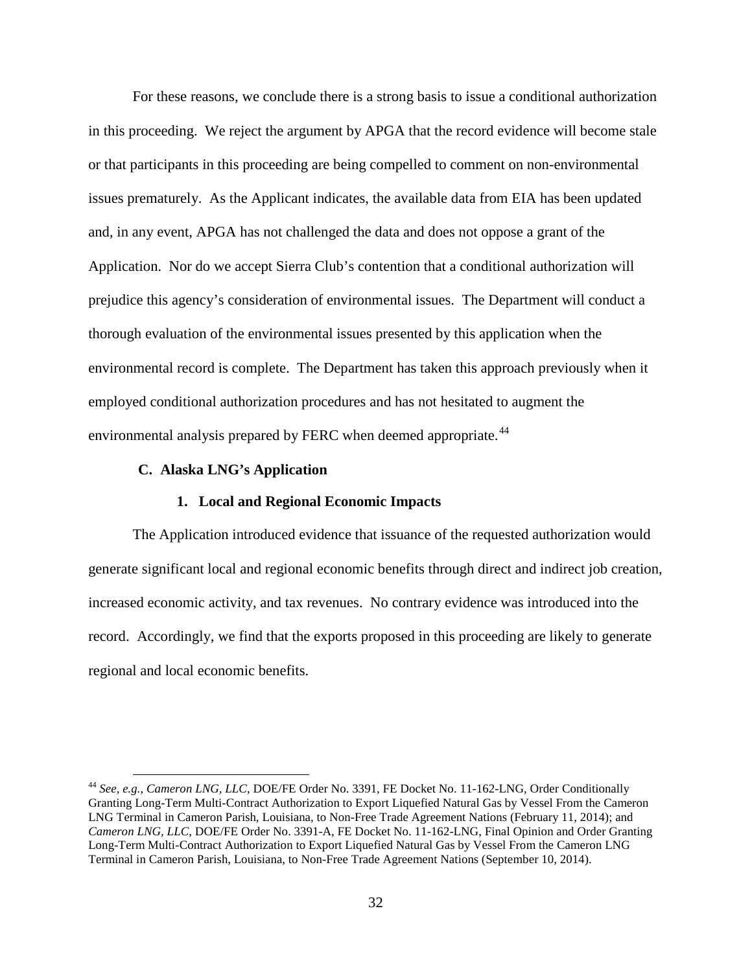For these reasons, we conclude there is a strong basis to issue a conditional authorization in this proceeding. We reject the argument by APGA that the record evidence will become stale or that participants in this proceeding are being compelled to comment on non-environmental issues prematurely. As the Applicant indicates, the available data from EIA has been updated and, in any event, APGA has not challenged the data and does not oppose a grant of the Application. Nor do we accept Sierra Club's contention that a conditional authorization will prejudice this agency's consideration of environmental issues. The Department will conduct a thorough evaluation of the environmental issues presented by this application when the environmental record is complete. The Department has taken this approach previously when it employed conditional authorization procedures and has not hesitated to augment the environmental analysis prepared by FERC when deemed appropriate.<sup>[44](#page-35-2)</sup>

# **C. Alaska LNG's Application**

# **1. Local and Regional Economic Impacts**

<span id="page-35-1"></span><span id="page-35-0"></span>The Application introduced evidence that issuance of the requested authorization would generate significant local and regional economic benefits through direct and indirect job creation, increased economic activity, and tax revenues. No contrary evidence was introduced into the record. Accordingly, we find that the exports proposed in this proceeding are likely to generate regional and local economic benefits.

<span id="page-35-2"></span> <sup>44</sup> *See, e.g., Cameron LNG, LLC*, DOE/FE Order No. 3391, FE Docket No. 11-162-LNG, Order Conditionally Granting Long-Term Multi-Contract Authorization to Export Liquefied Natural Gas by Vessel From the Cameron LNG Terminal in Cameron Parish, Louisiana, to Non-Free Trade Agreement Nations (February 11, 2014); and *Cameron LNG, LLC*, DOE/FE Order No. 3391-A, FE Docket No. 11-162-LNG, Final Opinion and Order Granting Long-Term Multi-Contract Authorization to Export Liquefied Natural Gas by Vessel From the Cameron LNG Terminal in Cameron Parish, Louisiana, to Non-Free Trade Agreement Nations (September 10, 2014).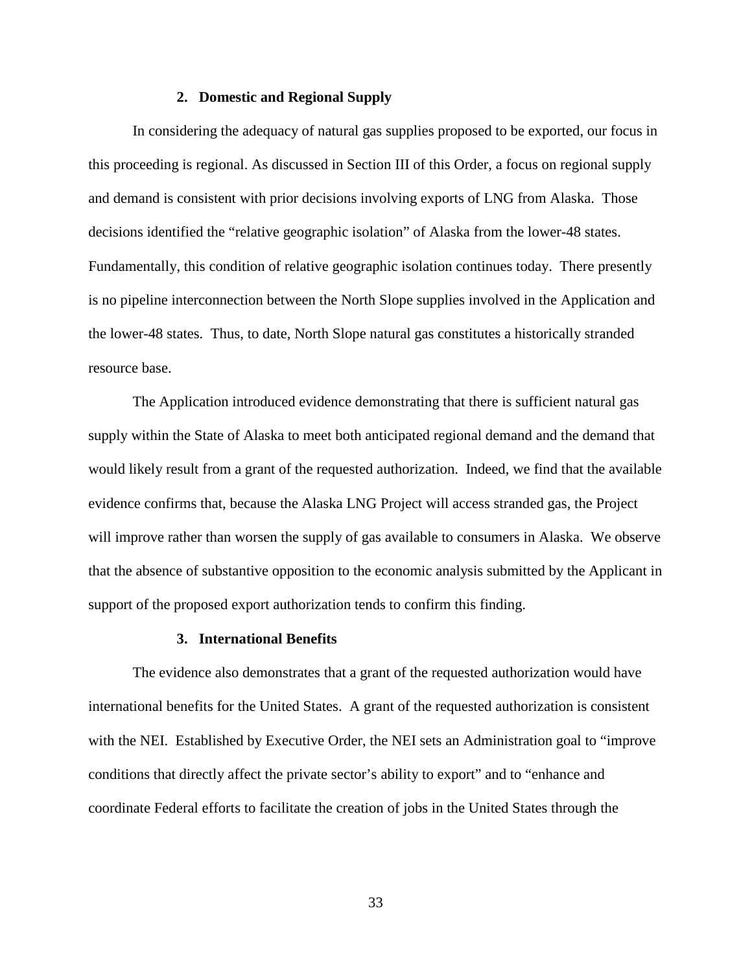# **2. Domestic and Regional Supply**

<span id="page-36-0"></span>In considering the adequacy of natural gas supplies proposed to be exported, our focus in this proceeding is regional. As discussed in Section III of this Order, a focus on regional supply and demand is consistent with prior decisions involving exports of LNG from Alaska. Those decisions identified the "relative geographic isolation" of Alaska from the lower-48 states. Fundamentally, this condition of relative geographic isolation continues today. There presently is no pipeline interconnection between the North Slope supplies involved in the Application and the lower-48 states. Thus, to date, North Slope natural gas constitutes a historically stranded resource base.

The Application introduced evidence demonstrating that there is sufficient natural gas supply within the State of Alaska to meet both anticipated regional demand and the demand that would likely result from a grant of the requested authorization. Indeed, we find that the available evidence confirms that, because the Alaska LNG Project will access stranded gas, the Project will improve rather than worsen the supply of gas available to consumers in Alaska. We observe that the absence of substantive opposition to the economic analysis submitted by the Applicant in support of the proposed export authorization tends to confirm this finding.

#### **3. International Benefits**

<span id="page-36-1"></span>The evidence also demonstrates that a grant of the requested authorization would have international benefits for the United States. A grant of the requested authorization is consistent with the NEI. Established by Executive Order, the NEI sets an Administration goal to "improve conditions that directly affect the private sector's ability to export" and to "enhance and coordinate Federal efforts to facilitate the creation of jobs in the United States through the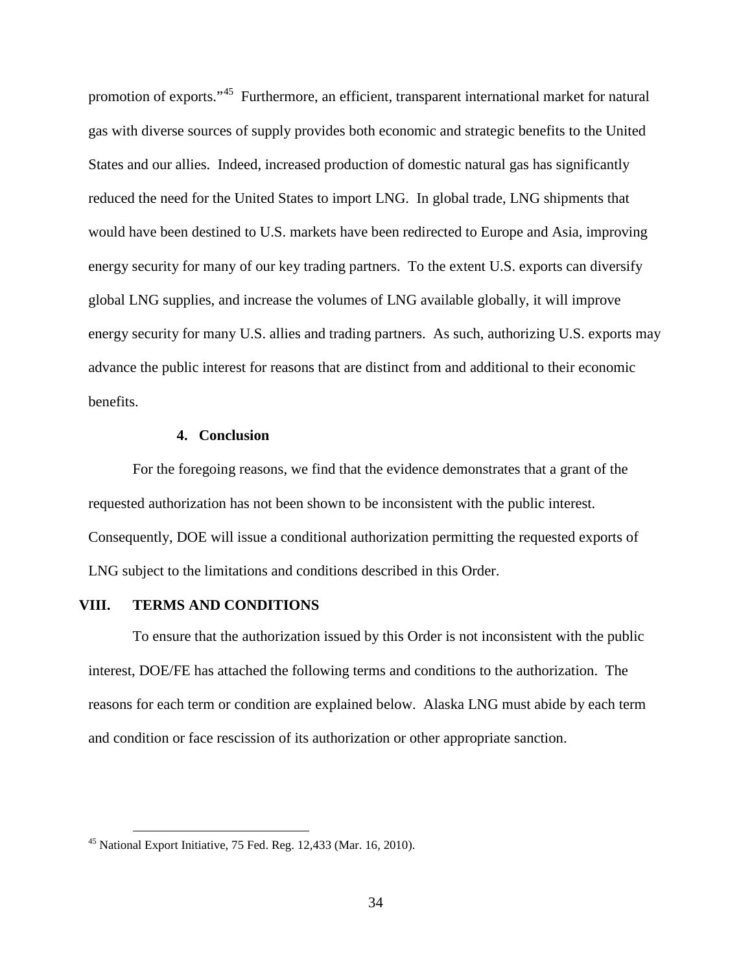promotion of exports."<sup>[45](#page-37-2)</sup> Furthermore, an efficient, transparent international market for natural gas with diverse sources of supply provides both economic and strategic benefits to the United States and our allies. Indeed, increased production of domestic natural gas has significantly reduced the need for the United States to import LNG. In global trade, LNG shipments that would have been destined to U.S. markets have been redirected to Europe and Asia, improving energy security for many of our key trading partners. To the extent U.S. exports can diversify global LNG supplies, and increase the volumes of LNG available globally, it will improve energy security for many U.S. allies and trading partners. As such, authorizing U.S. exports may advance the public interest for reasons that are distinct from and additional to their economic benefits.

#### **4. Conclusion**

<span id="page-37-0"></span>For the foregoing reasons, we find that the evidence demonstrates that a grant of the requested authorization has not been shown to be inconsistent with the public interest. Consequently, DOE will issue a conditional authorization permitting the requested exports of LNG subject to the limitations and conditions described in this Order.

# **VIII. TERMS AND CONDITIONS**

<span id="page-37-1"></span>To ensure that the authorization issued by this Order is not inconsistent with the public interest, DOE/FE has attached the following terms and conditions to the authorization. The reasons for each term or condition are explained below. Alaska LNG must abide by each term and condition or face rescission of its authorization or other appropriate sanction.

<span id="page-37-2"></span> $45$  National Export Initiative, 75 Fed. Reg. 12,433 (Mar. 16, 2010).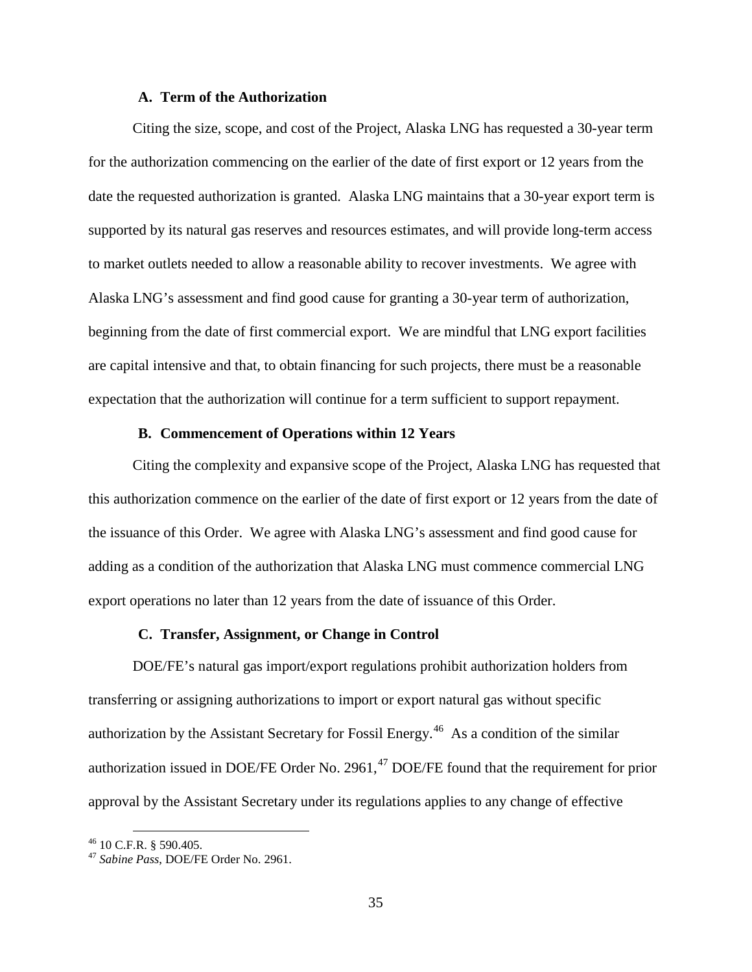# **A. Term of the Authorization**

<span id="page-38-0"></span>Citing the size, scope, and cost of the Project, Alaska LNG has requested a 30-year term for the authorization commencing on the earlier of the date of first export or 12 years from the date the requested authorization is granted. Alaska LNG maintains that a 30-year export term is supported by its natural gas reserves and resources estimates, and will provide long-term access to market outlets needed to allow a reasonable ability to recover investments. We agree with Alaska LNG's assessment and find good cause for granting a 30-year term of authorization, beginning from the date of first commercial export. We are mindful that LNG export facilities are capital intensive and that, to obtain financing for such projects, there must be a reasonable expectation that the authorization will continue for a term sufficient to support repayment.

# **B. Commencement of Operations within 12 Years**

<span id="page-38-1"></span>Citing the complexity and expansive scope of the Project, Alaska LNG has requested that this authorization commence on the earlier of the date of first export or 12 years from the date of the issuance of this Order. We agree with Alaska LNG's assessment and find good cause for adding as a condition of the authorization that Alaska LNG must commence commercial LNG export operations no later than 12 years from the date of issuance of this Order.

# **C. Transfer, Assignment, or Change in Control**

<span id="page-38-2"></span>DOE/FE's natural gas import/export regulations prohibit authorization holders from transferring or assigning authorizations to import or export natural gas without specific authorization by the Assistant Secretary for Fossil Energy.<sup>[46](#page-38-3)</sup> As a condition of the similar authorization issued in DOE/FE Order No. 2961, $47$  DOE/FE found that the requirement for prior approval by the Assistant Secretary under its regulations applies to any change of effective

<span id="page-38-4"></span><span id="page-38-3"></span><sup>46</sup> 10 C.F.R. § 590.405. <sup>47</sup> *Sabine Pass*, DOE/FE Order No. 2961.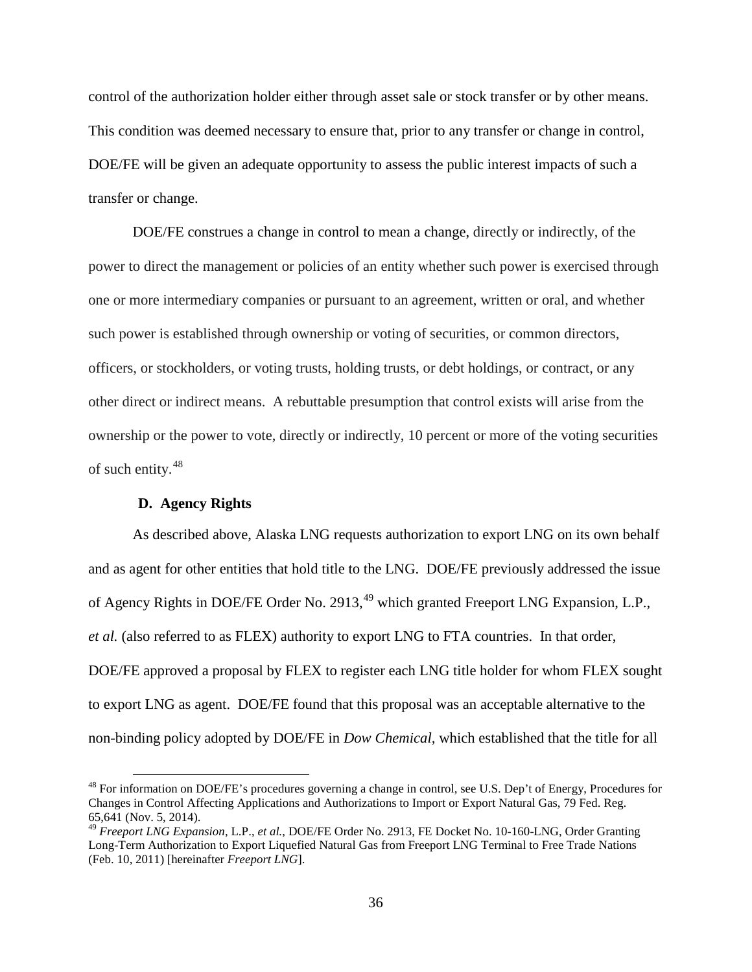control of the authorization holder either through asset sale or stock transfer or by other means. This condition was deemed necessary to ensure that, prior to any transfer or change in control, DOE/FE will be given an adequate opportunity to assess the public interest impacts of such a transfer or change.

DOE/FE construes a change in control to mean a change, directly or indirectly, of the power to direct the management or policies of an entity whether such power is exercised through one or more intermediary companies or pursuant to an agreement, written or oral, and whether such power is established through ownership or voting of securities, or common directors, officers, or stockholders, or voting trusts, holding trusts, or debt holdings, or contract, or any other direct or indirect means. A rebuttable presumption that control exists will arise from the ownership or the power to vote, directly or indirectly, 10 percent or more of the voting securities of such entity.[48](#page-39-1)

# **D. Agency Rights**

<span id="page-39-0"></span>As described above, Alaska LNG requests authorization to export LNG on its own behalf and as agent for other entities that hold title to the LNG. DOE/FE previously addressed the issue of Agency Rights in DOE/FE Order No. 2913,<sup>[49](#page-39-2)</sup> which granted Freeport LNG Expansion, L.P., *et al.* (also referred to as FLEX) authority to export LNG to FTA countries. In that order, DOE/FE approved a proposal by FLEX to register each LNG title holder for whom FLEX sought to export LNG as agent. DOE/FE found that this proposal was an acceptable alternative to the non-binding policy adopted by DOE/FE in *Dow Chemical,* which established that the title for all

<span id="page-39-1"></span><sup>&</sup>lt;sup>48</sup> For information on DOE/FE's procedures governing a change in control, see U.S. Dep't of Energy, Procedures for Changes in Control Affecting Applications and Authorizations to Import or Export Natural Gas, 79 Fed. Reg. 65,641 (Nov. 5, 2014).

<span id="page-39-2"></span><sup>49</sup> *Freeport LNG Expansion*, L.P., *et al.*, DOE/FE Order No. 2913, FE Docket No. 10-160-LNG, Order Granting Long-Term Authorization to Export Liquefied Natural Gas from Freeport LNG Terminal to Free Trade Nations (Feb. 10, 2011) [hereinafter *Freeport LNG*].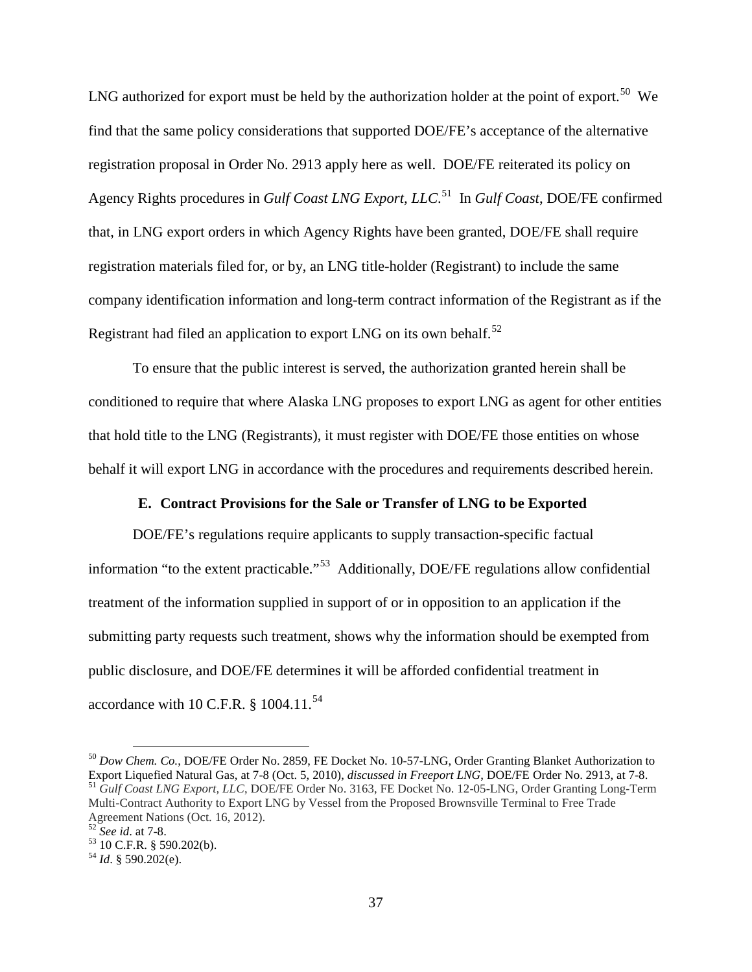LNG authorized for export must be held by the authorization holder at the point of export.<sup>[50](#page-40-1)</sup> We find that the same policy considerations that supported DOE/FE's acceptance of the alternative registration proposal in Order No. 2913 apply here as well. DOE/FE reiterated its policy on Agency Rights procedures in *Gulf Coast LNG Export, LLC*. [51](#page-40-2) In *Gulf Coast*, DOE/FE confirmed that, in LNG export orders in which Agency Rights have been granted, DOE/FE shall require registration materials filed for, or by, an LNG title-holder (Registrant) to include the same company identification information and long-term contract information of the Registrant as if the Registrant had filed an application to export LNG on its own behalf.<sup>52</sup>

To ensure that the public interest is served, the authorization granted herein shall be conditioned to require that where Alaska LNG proposes to export LNG as agent for other entities that hold title to the LNG (Registrants), it must register with DOE/FE those entities on whose behalf it will export LNG in accordance with the procedures and requirements described herein.

# **E. Contract Provisions for the Sale or Transfer of LNG to be Exported**

<span id="page-40-0"></span>DOE/FE's regulations require applicants to supply transaction-specific factual information "to the extent practicable."[53](#page-40-4) Additionally, DOE/FE regulations allow confidential treatment of the information supplied in support of or in opposition to an application if the submitting party requests such treatment, shows why the information should be exempted from public disclosure, and DOE/FE determines it will be afforded confidential treatment in accordance with 10 C.F.R.  $§$  1004.11.<sup>54</sup>

<span id="page-40-2"></span><span id="page-40-1"></span> <sup>50</sup> *Dow Chem. Co.*, DOE/FE Order No. 2859, FE Docket No. 10-57-LNG, Order Granting Blanket Authorization to Export Liquefied Natural Gas, at 7-8 (Oct. 5, 2010), *discussed in Freeport LNG*, DOE/FE Order No. 2913, at 7-8.<br><sup>51</sup> Gulf Coast LNG Export, LLC, DOE/FE Order No. 3163, FE Docket No. 12-05-LNG, Order Granting Long-Term Multi-Contract Authority to Export LNG by Vessel from the Proposed Brownsville Terminal to Free Trade Agreement Nations (Oct. 16, 2012).<br><sup>52</sup> See id. at 7-8.

<span id="page-40-4"></span><span id="page-40-3"></span><sup>&</sup>lt;sup>53</sup> 10 C.F.R. § 590.202(b).<br><sup>54</sup> *Id.* § 590.202(e).

<span id="page-40-5"></span>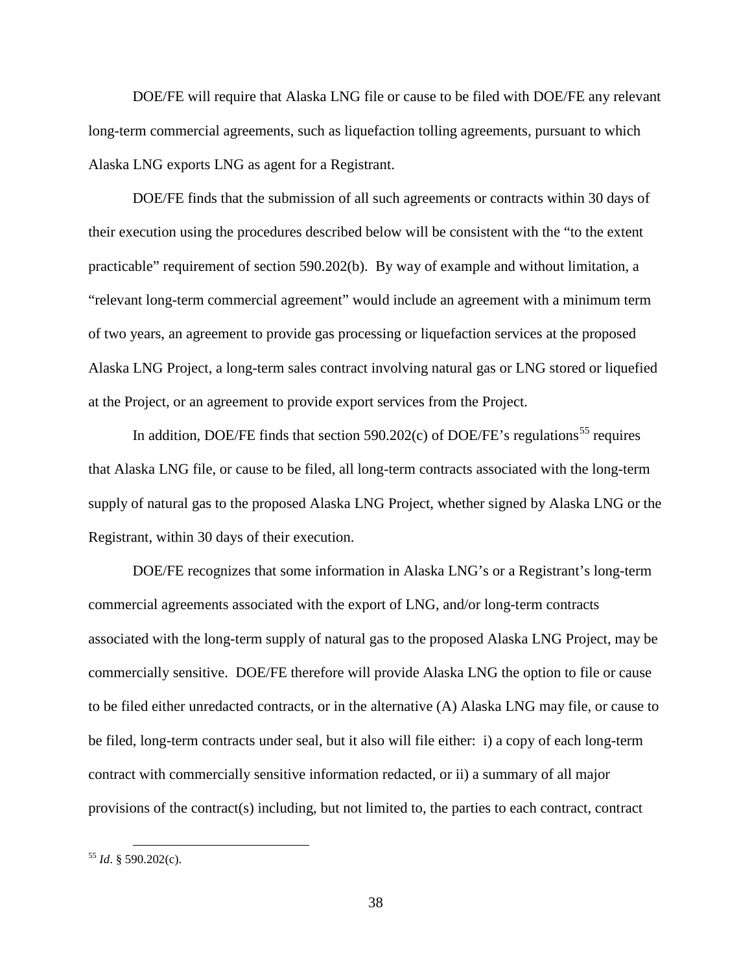DOE/FE will require that Alaska LNG file or cause to be filed with DOE/FE any relevant long-term commercial agreements, such as liquefaction tolling agreements, pursuant to which Alaska LNG exports LNG as agent for a Registrant.

DOE/FE finds that the submission of all such agreements or contracts within 30 days of their execution using the procedures described below will be consistent with the "to the extent practicable" requirement of section 590.202(b). By way of example and without limitation, a "relevant long-term commercial agreement" would include an agreement with a minimum term of two years, an agreement to provide gas processing or liquefaction services at the proposed Alaska LNG Project, a long-term sales contract involving natural gas or LNG stored or liquefied at the Project, or an agreement to provide export services from the Project.

In addition, DOE/FE finds that section 590.202(c) of DOE/FE's regulations<sup>[55](#page-41-0)</sup> requires that Alaska LNG file, or cause to be filed, all long-term contracts associated with the long-term supply of natural gas to the proposed Alaska LNG Project, whether signed by Alaska LNG or the Registrant, within 30 days of their execution.

DOE/FE recognizes that some information in Alaska LNG's or a Registrant's long-term commercial agreements associated with the export of LNG, and/or long-term contracts associated with the long-term supply of natural gas to the proposed Alaska LNG Project, may be commercially sensitive. DOE/FE therefore will provide Alaska LNG the option to file or cause to be filed either unredacted contracts, or in the alternative (A) Alaska LNG may file, or cause to be filed, long-term contracts under seal, but it also will file either: i) a copy of each long-term contract with commercially sensitive information redacted, or ii) a summary of all major provisions of the contract(s) including, but not limited to, the parties to each contract, contract

<span id="page-41-0"></span> <sup>55</sup> *Id*. § 590.202(c).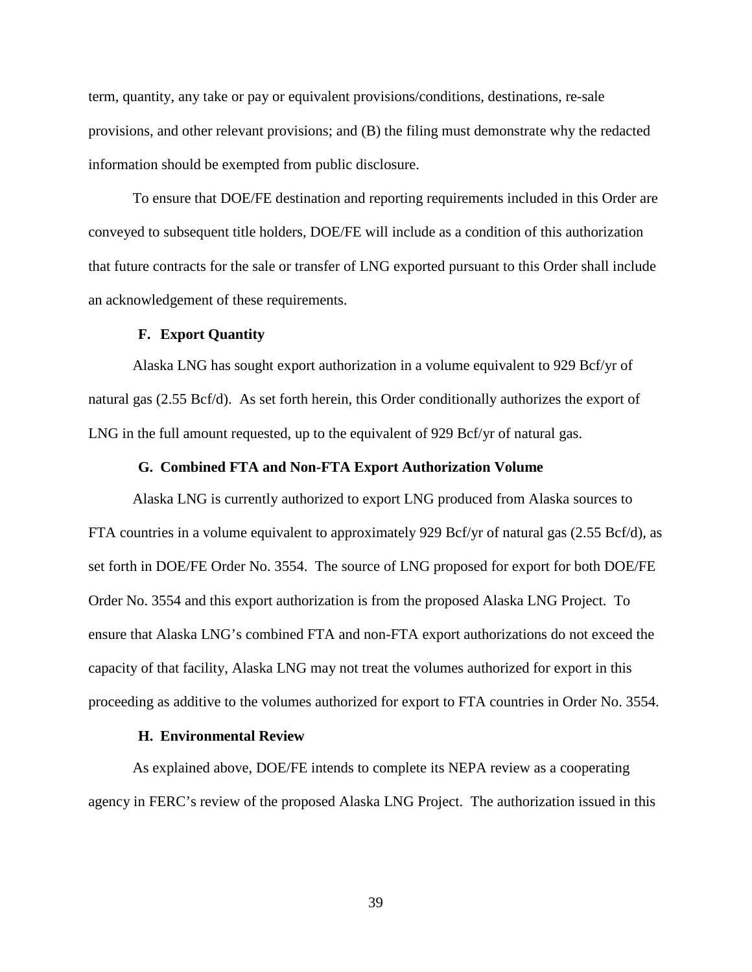term, quantity, any take or pay or equivalent provisions/conditions, destinations, re-sale provisions, and other relevant provisions; and (B) the filing must demonstrate why the redacted information should be exempted from public disclosure.

To ensure that DOE/FE destination and reporting requirements included in this Order are conveyed to subsequent title holders, DOE/FE will include as a condition of this authorization that future contracts for the sale or transfer of LNG exported pursuant to this Order shall include an acknowledgement of these requirements.

## **F. Export Quantity**

<span id="page-42-0"></span>Alaska LNG has sought export authorization in a volume equivalent to 929 Bcf/yr of natural gas (2.55 Bcf/d). As set forth herein, this Order conditionally authorizes the export of LNG in the full amount requested, up to the equivalent of 929 Bcf/yr of natural gas.

#### **G. Combined FTA and Non-FTA Export Authorization Volume**

<span id="page-42-1"></span>Alaska LNG is currently authorized to export LNG produced from Alaska sources to FTA countries in a volume equivalent to approximately 929 Bcf/yr of natural gas (2.55 Bcf/d), as set forth in DOE/FE Order No. 3554. The source of LNG proposed for export for both DOE/FE Order No. 3554 and this export authorization is from the proposed Alaska LNG Project. To ensure that Alaska LNG's combined FTA and non-FTA export authorizations do not exceed the capacity of that facility, Alaska LNG may not treat the volumes authorized for export in this proceeding as additive to the volumes authorized for export to FTA countries in Order No. 3554.

## **H. Environmental Review**

<span id="page-42-2"></span>As explained above, DOE/FE intends to complete its NEPA review as a cooperating agency in FERC's review of the proposed Alaska LNG Project. The authorization issued in this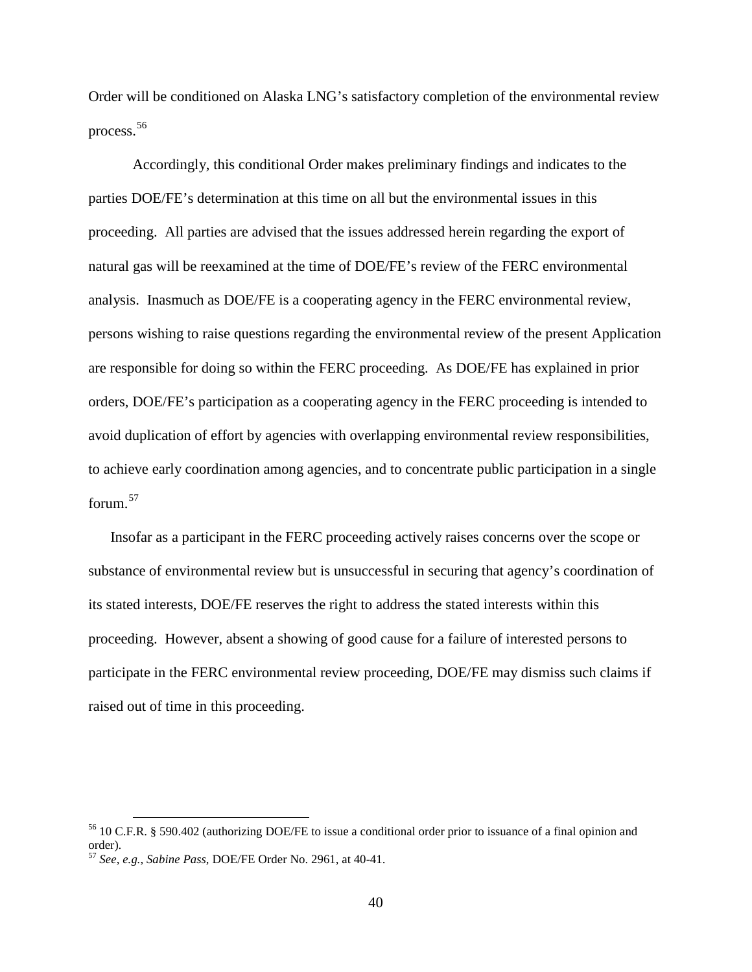Order will be conditioned on Alaska LNG's satisfactory completion of the environmental review process.[56](#page-43-0)

Accordingly, this conditional Order makes preliminary findings and indicates to the parties DOE/FE's determination at this time on all but the environmental issues in this proceeding. All parties are advised that the issues addressed herein regarding the export of natural gas will be reexamined at the time of DOE/FE's review of the FERC environmental analysis. Inasmuch as DOE/FE is a cooperating agency in the FERC environmental review, persons wishing to raise questions regarding the environmental review of the present Application are responsible for doing so within the FERC proceeding. As DOE/FE has explained in prior orders, DOE/FE's participation as a cooperating agency in the FERC proceeding is intended to avoid duplication of effort by agencies with overlapping environmental review responsibilities, to achieve early coordination among agencies, and to concentrate public participation in a single forum.[57](#page-43-1)

Insofar as a participant in the FERC proceeding actively raises concerns over the scope or substance of environmental review but is unsuccessful in securing that agency's coordination of its stated interests, DOE/FE reserves the right to address the stated interests within this proceeding. However, absent a showing of good cause for a failure of interested persons to participate in the FERC environmental review proceeding, DOE/FE may dismiss such claims if raised out of time in this proceeding.

<span id="page-43-0"></span> <sup>56</sup> 10 C.F.R. § 590.402 (authorizing DOE/FE to issue a conditional order prior to issuance of a final opinion and order).

<span id="page-43-1"></span><sup>57</sup> *See*, *e.g.*, *Sabine Pass*, DOE/FE Order No. 2961, at 40-41.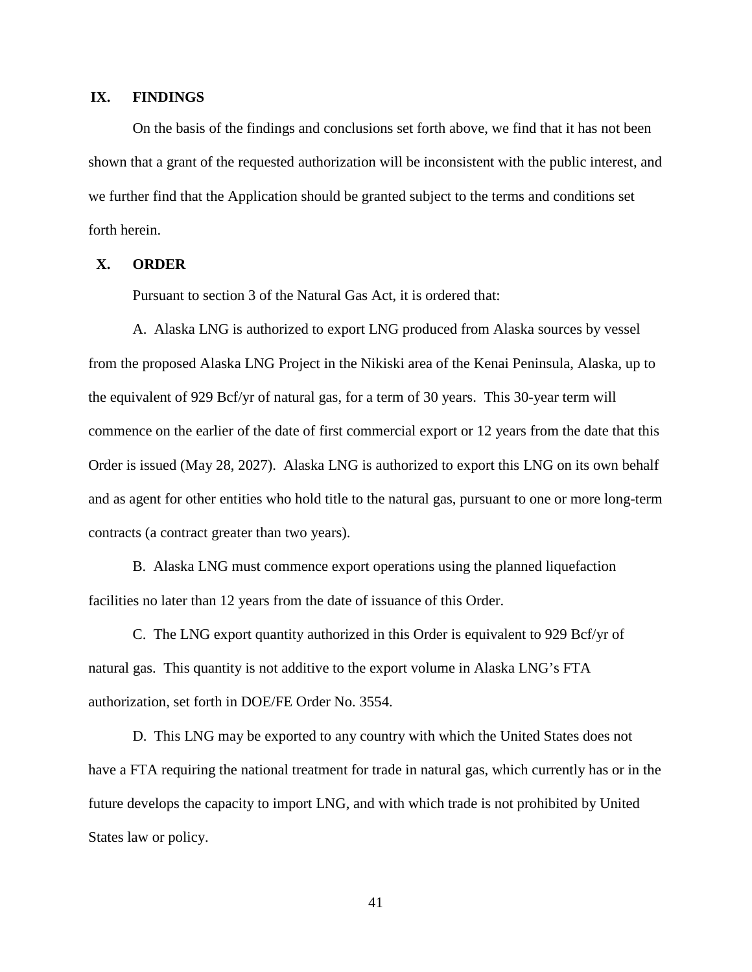# **IX. FINDINGS**

<span id="page-44-0"></span>On the basis of the findings and conclusions set forth above, we find that it has not been shown that a grant of the requested authorization will be inconsistent with the public interest, and we further find that the Application should be granted subject to the terms and conditions set forth herein.

# **X. ORDER**

Pursuant to section 3 of the Natural Gas Act, it is ordered that:

<span id="page-44-1"></span>A. Alaska LNG is authorized to export LNG produced from Alaska sources by vessel from the proposed Alaska LNG Project in the Nikiski area of the Kenai Peninsula, Alaska, up to the equivalent of 929 Bcf/yr of natural gas, for a term of 30 years. This 30-year term will commence on the earlier of the date of first commercial export or 12 years from the date that this Order is issued (May 28, 2027). Alaska LNG is authorized to export this LNG on its own behalf and as agent for other entities who hold title to the natural gas, pursuant to one or more long-term contracts (a contract greater than two years).

B. Alaska LNG must commence export operations using the planned liquefaction facilities no later than 12 years from the date of issuance of this Order.

C. The LNG export quantity authorized in this Order is equivalent to 929 Bcf/yr of natural gas. This quantity is not additive to the export volume in Alaska LNG's FTA authorization, set forth in DOE/FE Order No. 3554.

D. This LNG may be exported to any country with which the United States does not have a FTA requiring the national treatment for trade in natural gas, which currently has or in the future develops the capacity to import LNG, and with which trade is not prohibited by United States law or policy.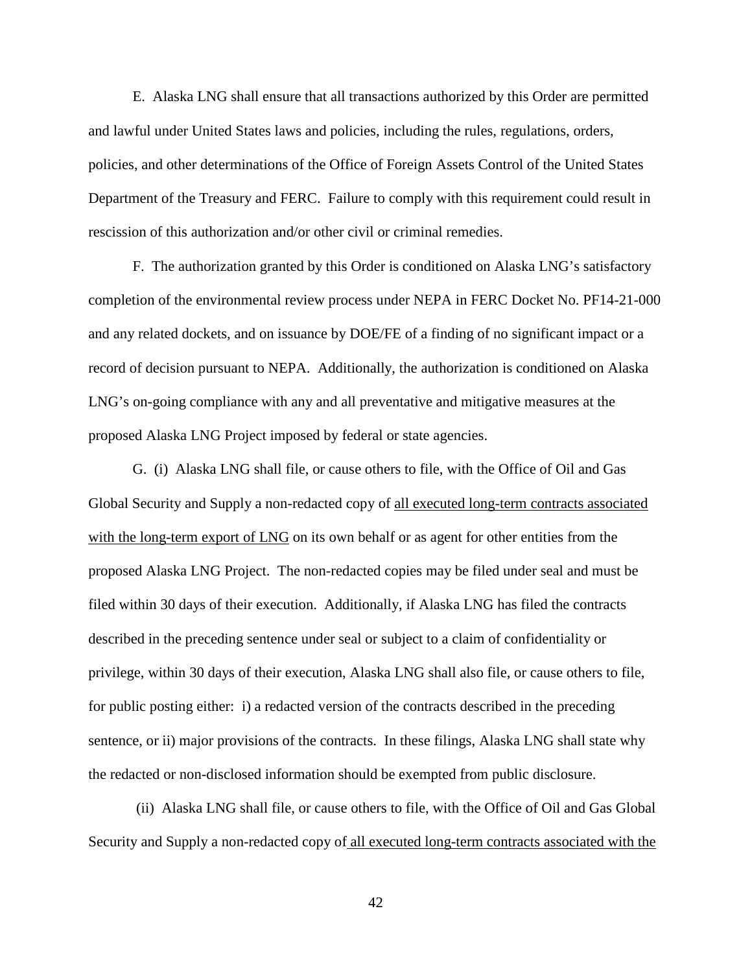E. Alaska LNG shall ensure that all transactions authorized by this Order are permitted and lawful under United States laws and policies, including the rules, regulations, orders, policies, and other determinations of the Office of Foreign Assets Control of the United States Department of the Treasury and FERC. Failure to comply with this requirement could result in rescission of this authorization and/or other civil or criminal remedies.

F. The authorization granted by this Order is conditioned on Alaska LNG's satisfactory completion of the environmental review process under NEPA in FERC Docket No. PF14-21-000 and any related dockets, and on issuance by DOE/FE of a finding of no significant impact or a record of decision pursuant to NEPA. Additionally, the authorization is conditioned on Alaska LNG's on-going compliance with any and all preventative and mitigative measures at the proposed Alaska LNG Project imposed by federal or state agencies.

G. (i) Alaska LNG shall file, or cause others to file, with the Office of Oil and Gas Global Security and Supply a non-redacted copy of all executed long-term contracts associated with the long-term export of LNG on its own behalf or as agent for other entities from the proposed Alaska LNG Project. The non-redacted copies may be filed under seal and must be filed within 30 days of their execution. Additionally, if Alaska LNG has filed the contracts described in the preceding sentence under seal or subject to a claim of confidentiality or privilege, within 30 days of their execution, Alaska LNG shall also file, or cause others to file, for public posting either: i) a redacted version of the contracts described in the preceding sentence, or ii) major provisions of the contracts. In these filings, Alaska LNG shall state why the redacted or non-disclosed information should be exempted from public disclosure.

(ii) Alaska LNG shall file, or cause others to file, with the Office of Oil and Gas Global Security and Supply a non-redacted copy of all executed long-term contracts associated with the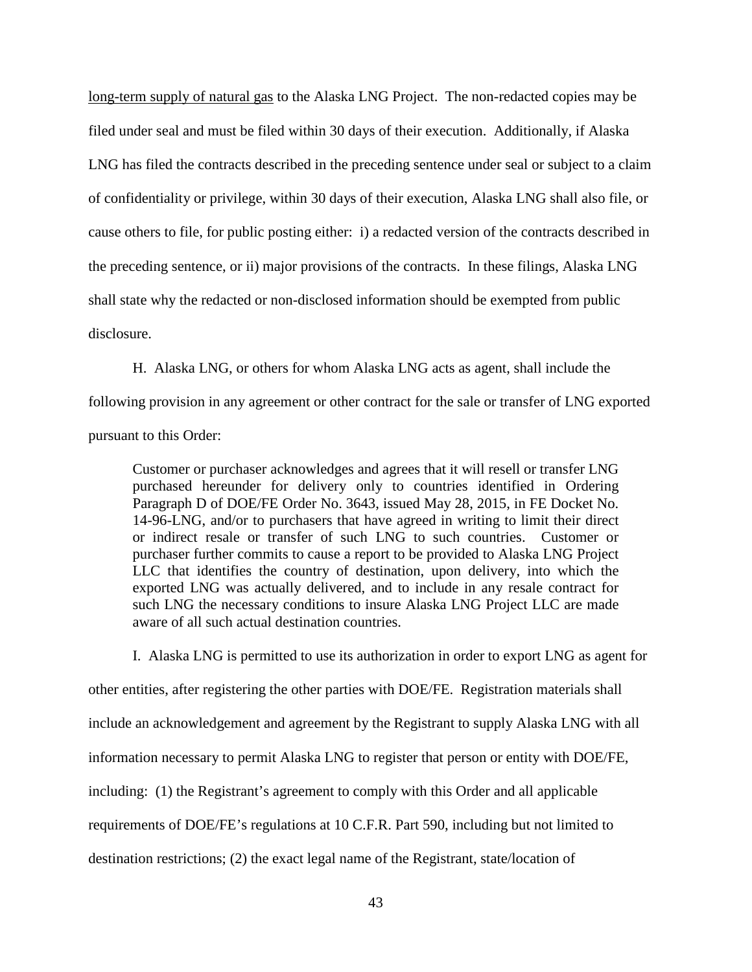long-term supply of natural gas to the Alaska LNG Project. The non-redacted copies may be filed under seal and must be filed within 30 days of their execution. Additionally, if Alaska LNG has filed the contracts described in the preceding sentence under seal or subject to a claim of confidentiality or privilege, within 30 days of their execution, Alaska LNG shall also file, or cause others to file, for public posting either: i) a redacted version of the contracts described in the preceding sentence, or ii) major provisions of the contracts. In these filings, Alaska LNG shall state why the redacted or non-disclosed information should be exempted from public disclosure.

H. Alaska LNG, or others for whom Alaska LNG acts as agent, shall include the

following provision in any agreement or other contract for the sale or transfer of LNG exported pursuant to this Order:

Customer or purchaser acknowledges and agrees that it will resell or transfer LNG purchased hereunder for delivery only to countries identified in Ordering Paragraph D of DOE/FE Order No. 3643, issued May 28, 2015, in FE Docket No. 14-96-LNG, and/or to purchasers that have agreed in writing to limit their direct or indirect resale or transfer of such LNG to such countries. Customer or purchaser further commits to cause a report to be provided to Alaska LNG Project LLC that identifies the country of destination, upon delivery, into which the exported LNG was actually delivered, and to include in any resale contract for such LNG the necessary conditions to insure Alaska LNG Project LLC are made aware of all such actual destination countries.

I. Alaska LNG is permitted to use its authorization in order to export LNG as agent for

other entities, after registering the other parties with DOE/FE. Registration materials shall include an acknowledgement and agreement by the Registrant to supply Alaska LNG with all information necessary to permit Alaska LNG to register that person or entity with DOE/FE, including: (1) the Registrant's agreement to comply with this Order and all applicable requirements of DOE/FE's regulations at 10 C.F.R. Part 590, including but not limited to destination restrictions; (2) the exact legal name of the Registrant, state/location of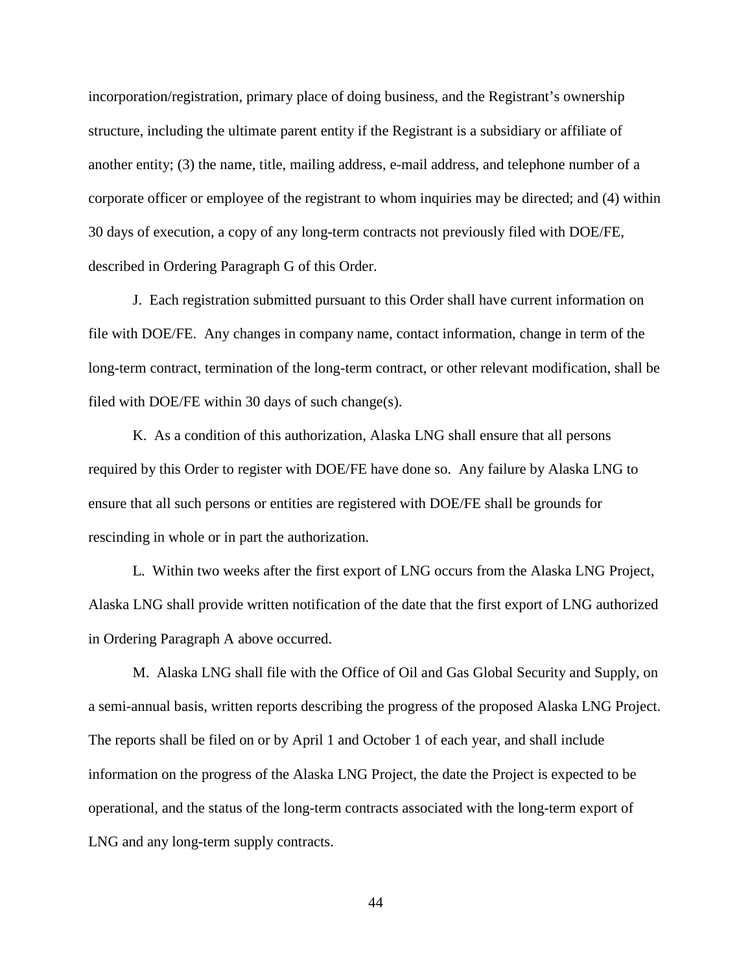incorporation/registration, primary place of doing business, and the Registrant's ownership structure, including the ultimate parent entity if the Registrant is a subsidiary or affiliate of another entity; (3) the name, title, mailing address, e-mail address, and telephone number of a corporate officer or employee of the registrant to whom inquiries may be directed; and (4) within 30 days of execution, a copy of any long-term contracts not previously filed with DOE/FE, described in Ordering Paragraph G of this Order.

J. Each registration submitted pursuant to this Order shall have current information on file with DOE/FE. Any changes in company name, contact information, change in term of the long-term contract, termination of the long-term contract, or other relevant modification, shall be filed with DOE/FE within 30 days of such change(s).

K. As a condition of this authorization, Alaska LNG shall ensure that all persons required by this Order to register with DOE/FE have done so. Any failure by Alaska LNG to ensure that all such persons or entities are registered with DOE/FE shall be grounds for rescinding in whole or in part the authorization.

L. Within two weeks after the first export of LNG occurs from the Alaska LNG Project, Alaska LNG shall provide written notification of the date that the first export of LNG authorized in Ordering Paragraph A above occurred.

M. Alaska LNG shall file with the Office of Oil and Gas Global Security and Supply, on a semi-annual basis, written reports describing the progress of the proposed Alaska LNG Project. The reports shall be filed on or by April 1 and October 1 of each year, and shall include information on the progress of the Alaska LNG Project, the date the Project is expected to be operational, and the status of the long-term contracts associated with the long-term export of LNG and any long-term supply contracts.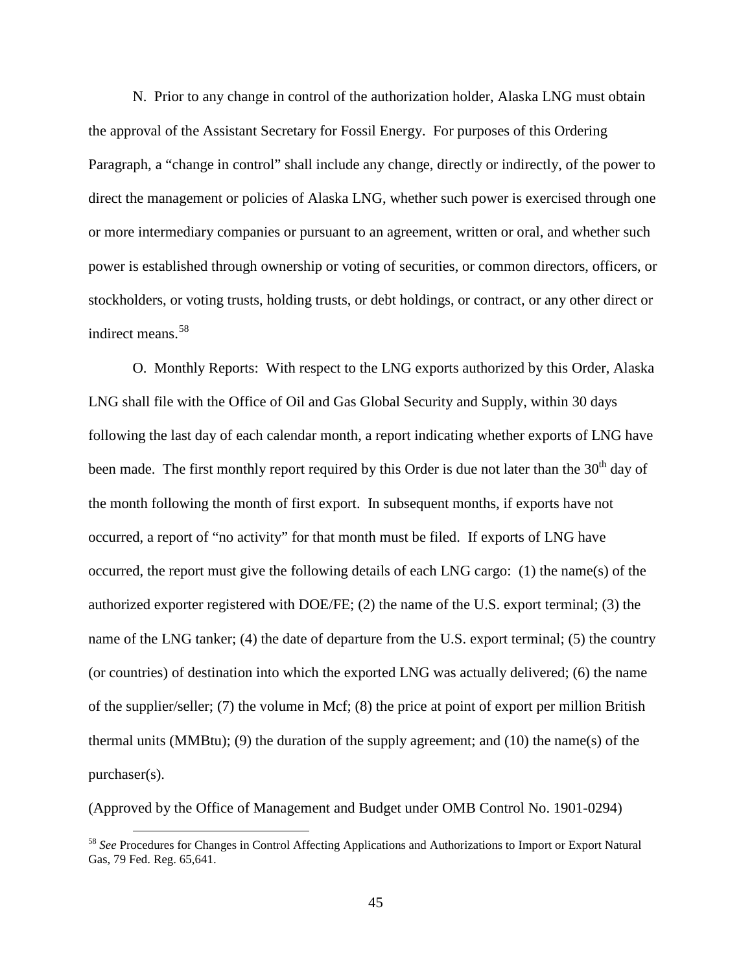N. Prior to any change in control of the authorization holder, Alaska LNG must obtain the approval of the Assistant Secretary for Fossil Energy. For purposes of this Ordering Paragraph, a "change in control" shall include any change, directly or indirectly, of the power to direct the management or policies of Alaska LNG, whether such power is exercised through one or more intermediary companies or pursuant to an agreement, written or oral, and whether such power is established through ownership or voting of securities, or common directors, officers, or stockholders, or voting trusts, holding trusts, or debt holdings, or contract, or any other direct or indirect means.[58](#page-48-0)

O. Monthly Reports:With respect to the LNG exports authorized by this Order, Alaska LNG shall file with the Office of Oil and Gas Global Security and Supply, within 30 days following the last day of each calendar month, a report indicating whether exports of LNG have been made. The first monthly report required by this Order is due not later than the 30<sup>th</sup> day of the month following the month of first export. In subsequent months, if exports have not occurred, a report of "no activity" for that month must be filed. If exports of LNG have occurred, the report must give the following details of each LNG cargo: (1) the name(s) of the authorized exporter registered with DOE/FE; (2) the name of the U.S. export terminal; (3) the name of the LNG tanker; (4) the date of departure from the U.S. export terminal; (5) the country (or countries) of destination into which the exported LNG was actually delivered; (6) the name of the supplier/seller; (7) the volume in Mcf; (8) the price at point of export per million British thermal units (MMBtu); (9) the duration of the supply agreement; and (10) the name(s) of the purchaser(s).

(Approved by the Office of Management and Budget under OMB Control No. 1901-0294)

<span id="page-48-0"></span> <sup>58</sup> *See* Procedures for Changes in Control Affecting Applications and Authorizations to Import or Export Natural Gas, 79 Fed. Reg. 65,641.